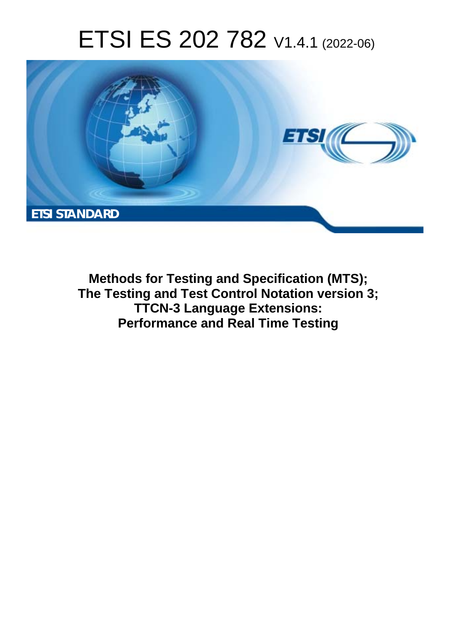# ETSI ES 202 782 V1.4.1 (2022-06)



**Methods for Testing and Specification (MTS); The Testing and Test Control Notation version 3; TTCN-3 Language Extensions: Performance and Real Time Testing**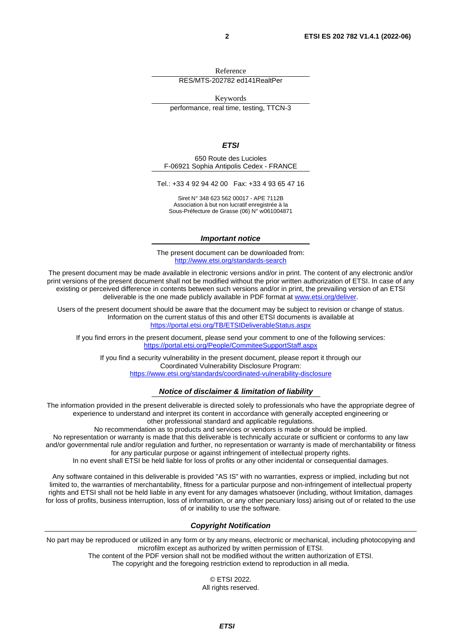Reference RES/MTS-202782 ed141RealtPer

Keywords

performance, real time, testing, TTCN-3

#### *ETSI*

650 Route des Lucioles F-06921 Sophia Antipolis Cedex - FRANCE

Tel.: +33 4 92 94 42 00 Fax: +33 4 93 65 47 16

Siret N° 348 623 562 00017 - APE 7112B Association à but non lucratif enregistrée à la Sous-Préfecture de Grasse (06) N° w061004871

#### *Important notice*

The present document can be downloaded from: <http://www.etsi.org/standards-search>

The present document may be made available in electronic versions and/or in print. The content of any electronic and/or print versions of the present document shall not be modified without the prior written authorization of ETSI. In case of any existing or perceived difference in contents between such versions and/or in print, the prevailing version of an ETSI deliverable is the one made publicly available in PDF format at [www.etsi.org/deliver.](http://www.etsi.org/deliver)

Users of the present document should be aware that the document may be subject to revision or change of status. Information on the current status of this and other ETSI documents is available at <https://portal.etsi.org/TB/ETSIDeliverableStatus.aspx>

If you find errors in the present document, please send your comment to one of the following services: <https://portal.etsi.org/People/CommiteeSupportStaff.aspx>

If you find a security vulnerability in the present document, please report it through our Coordinated Vulnerability Disclosure Program: <https://www.etsi.org/standards/coordinated-vulnerability-disclosure>

#### *Notice of disclaimer & limitation of liability*

The information provided in the present deliverable is directed solely to professionals who have the appropriate degree of experience to understand and interpret its content in accordance with generally accepted engineering or other professional standard and applicable regulations.

No recommendation as to products and services or vendors is made or should be implied.

No representation or warranty is made that this deliverable is technically accurate or sufficient or conforms to any law and/or governmental rule and/or regulation and further, no representation or warranty is made of merchantability or fitness for any particular purpose or against infringement of intellectual property rights.

In no event shall ETSI be held liable for loss of profits or any other incidental or consequential damages.

Any software contained in this deliverable is provided "AS IS" with no warranties, express or implied, including but not limited to, the warranties of merchantability, fitness for a particular purpose and non-infringement of intellectual property rights and ETSI shall not be held liable in any event for any damages whatsoever (including, without limitation, damages for loss of profits, business interruption, loss of information, or any other pecuniary loss) arising out of or related to the use of or inability to use the software.

#### *Copyright Notification*

No part may be reproduced or utilized in any form or by any means, electronic or mechanical, including photocopying and microfilm except as authorized by written permission of ETSI.

> The content of the PDF version shall not be modified without the written authorization of ETSI. The copyright and the foregoing restriction extend to reproduction in all media.

© ETSI 2022. All rights reserved.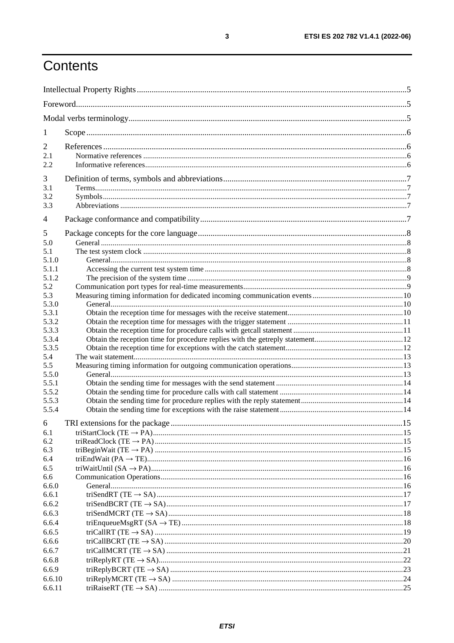## Contents

| 1              |  |  |  |
|----------------|--|--|--|
| $\overline{2}$ |  |  |  |
| 2.1            |  |  |  |
| 2.2            |  |  |  |
| 3              |  |  |  |
| 3.1            |  |  |  |
| 3.2            |  |  |  |
| 3.3            |  |  |  |
| 4              |  |  |  |
|                |  |  |  |
| 5              |  |  |  |
| 5.0            |  |  |  |
| 5.1<br>5.1.0   |  |  |  |
| 5.1.1          |  |  |  |
| 5.1.2          |  |  |  |
| 5.2            |  |  |  |
| 5.3            |  |  |  |
| 5.3.0          |  |  |  |
| 5.3.1          |  |  |  |
| 5.3.2          |  |  |  |
| 5.3.3          |  |  |  |
| 5.3.4          |  |  |  |
| 5.3.5          |  |  |  |
| 5.4            |  |  |  |
| 5.5            |  |  |  |
| 5.5.0          |  |  |  |
| 5.5.1          |  |  |  |
| 5.5.2          |  |  |  |
| 5.5.3<br>5.5.4 |  |  |  |
|                |  |  |  |
| 6              |  |  |  |
| 6.1<br>6.2     |  |  |  |
| 6.3            |  |  |  |
| 6.4            |  |  |  |
| 6.5            |  |  |  |
| 6.6            |  |  |  |
| 6.6.0          |  |  |  |
| 6.6.1          |  |  |  |
| 6.6.2          |  |  |  |
| 6.6.3          |  |  |  |
| 6.6.4          |  |  |  |
| 6.6.5          |  |  |  |
| 6.6.6          |  |  |  |
| 6.6.7          |  |  |  |
| 6.6.8          |  |  |  |
| 6.6.9          |  |  |  |
| 6.6.10         |  |  |  |
| 6.6.11         |  |  |  |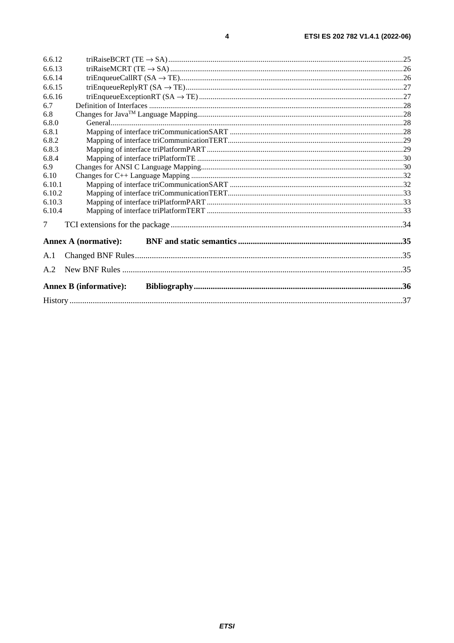| 6.6.12                        |                             |  |  |
|-------------------------------|-----------------------------|--|--|
| 6.6.13                        |                             |  |  |
| 6.6.14                        |                             |  |  |
| 6.6.15                        |                             |  |  |
| 6.6.16                        |                             |  |  |
| 6.7                           |                             |  |  |
| 6.8                           |                             |  |  |
| 6.8.0                         |                             |  |  |
| 6.8.1                         |                             |  |  |
| 6.8.2                         |                             |  |  |
| 6.8.3                         |                             |  |  |
| 6.8.4                         |                             |  |  |
| 6.9                           |                             |  |  |
| 6.10                          |                             |  |  |
| 6.10.1                        |                             |  |  |
| 6.10.2                        |                             |  |  |
| 6.10.3                        |                             |  |  |
| 6.10.4                        |                             |  |  |
| 7                             |                             |  |  |
|                               | <b>Annex A (normative):</b> |  |  |
| A.1                           |                             |  |  |
| A.2                           |                             |  |  |
| <b>Annex B</b> (informative): |                             |  |  |
|                               |                             |  |  |
|                               |                             |  |  |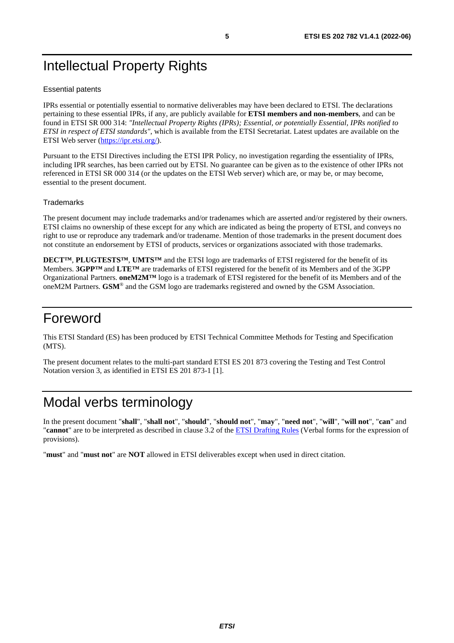## <span id="page-4-0"></span>Intellectual Property Rights

#### Essential patents

IPRs essential or potentially essential to normative deliverables may have been declared to ETSI. The declarations pertaining to these essential IPRs, if any, are publicly available for **ETSI members and non-members**, and can be found in ETSI SR 000 314: *"Intellectual Property Rights (IPRs); Essential, or potentially Essential, IPRs notified to ETSI in respect of ETSI standards"*, which is available from the ETSI Secretariat. Latest updates are available on the ETSI Web server ([https://ipr.etsi.org/\)](https://ipr.etsi.org/).

Pursuant to the ETSI Directives including the ETSI IPR Policy, no investigation regarding the essentiality of IPRs, including IPR searches, has been carried out by ETSI. No guarantee can be given as to the existence of other IPRs not referenced in ETSI SR 000 314 (or the updates on the ETSI Web server) which are, or may be, or may become, essential to the present document.

#### **Trademarks**

The present document may include trademarks and/or tradenames which are asserted and/or registered by their owners. ETSI claims no ownership of these except for any which are indicated as being the property of ETSI, and conveys no right to use or reproduce any trademark and/or tradename. Mention of those trademarks in the present document does not constitute an endorsement by ETSI of products, services or organizations associated with those trademarks.

**DECT™**, **PLUGTESTS™**, **UMTS™** and the ETSI logo are trademarks of ETSI registered for the benefit of its Members. **3GPP™** and **LTE™** are trademarks of ETSI registered for the benefit of its Members and of the 3GPP Organizational Partners. **oneM2M™** logo is a trademark of ETSI registered for the benefit of its Members and of the oneM2M Partners. **GSM**® and the GSM logo are trademarks registered and owned by the GSM Association.

## Foreword

This ETSI Standard (ES) has been produced by ETSI Technical Committee Methods for Testing and Specification (MTS).

The present document relates to the multi-part standard ETSI ES 201 873 covering the Testing and Test Control Notation version 3, as identified in ETSI ES 201 873-1 [[1\]](#page-5-0).

## Modal verbs terminology

In the present document "**shall**", "**shall not**", "**should**", "**should not**", "**may**", "**need not**", "**will**", "**will not**", "**can**" and "**cannot**" are to be interpreted as described in clause 3.2 of the [ETSI Drafting Rules](https://portal.etsi.org/Services/editHelp!/Howtostart/ETSIDraftingRules.aspx) (Verbal forms for the expression of provisions).

"**must**" and "**must not**" are **NOT** allowed in ETSI deliverables except when used in direct citation.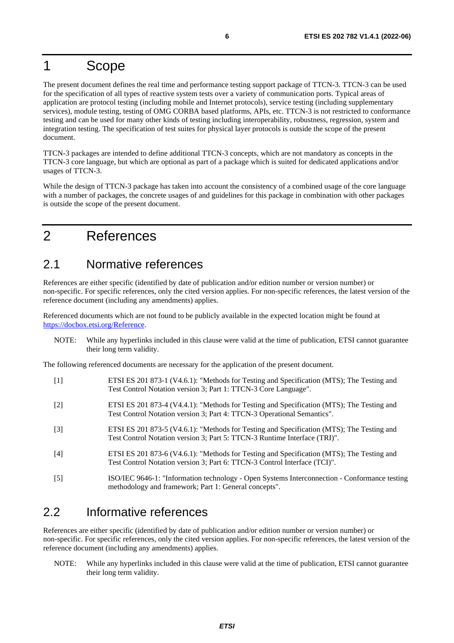## <span id="page-5-0"></span>1 Scope

The present document defines the real time and performance testing support package of TTCN-3. TTCN-3 can be used for the specification of all types of reactive system tests over a variety of communication ports. Typical areas of application are protocol testing (including mobile and Internet protocols), service testing (including supplementary services), module testing, testing of OMG CORBA based platforms, APIs, etc. TTCN-3 is not restricted to conformance testing and can be used for many other kinds of testing including interoperability, robustness, regression, system and integration testing. The specification of test suites for physical layer protocols is outside the scope of the present document.

TTCN-3 packages are intended to define additional TTCN-3 concepts, which are not mandatory as concepts in the TTCN-3 core language, but which are optional as part of a package which is suited for dedicated applications and/or usages of TTCN-3.

While the design of TTCN-3 package has taken into account the consistency of a combined usage of the core language with a number of packages, the concrete usages of and guidelines for this package in combination with other packages is outside the scope of the present document.

## 2 References

### 2.1 Normative references

References are either specific (identified by date of publication and/or edition number or version number) or non-specific. For specific references, only the cited version applies. For non-specific references, the latest version of the reference document (including any amendments) applies.

Referenced documents which are not found to be publicly available in the expected location might be found at <https://docbox.etsi.org/Reference>.

NOTE: While any hyperlinks included in this clause were valid at the time of publication, ETSI cannot guarantee their long term validity.

The following referenced documents are necessary for the application of the present document.

[1] ETSI ES 201 873-1 (V4.6.1): "Methods for Testing and Specification (MTS); The Testing and Test Control Notation version 3; Part 1: TTCN-3 Core Language". [2] ETSI ES 201 873-4 (V4.4.1): "Methods for Testing and Specification (MTS); The Testing and Test Control Notation version 3; Part 4: TTCN-3 Operational Semantics". [3] ETSI ES 201 873-5 (V4.6.1): "Methods for Testing and Specification (MTS); The Testing and Test Control Notation version 3; Part 5: TTCN-3 Runtime Interface (TRI)". [4] ETSI ES 201 873-6 (V4.6.1): "Methods for Testing and Specification (MTS); The Testing and Test Control Notation version 3; Part 6: TTCN-3 Control Interface (TCI)". [5] ISO/IEC 9646-1: "Information technology - Open Systems Interconnection - Conformance testing methodology and framework; Part 1: General concepts".

### 2.2 Informative references

References are either specific (identified by date of publication and/or edition number or version number) or non-specific. For specific references, only the cited version applies. For non-specific references, the latest version of the reference document (including any amendments) applies.

NOTE: While any hyperlinks included in this clause were valid at the time of publication, ETSI cannot guarantee their long term validity.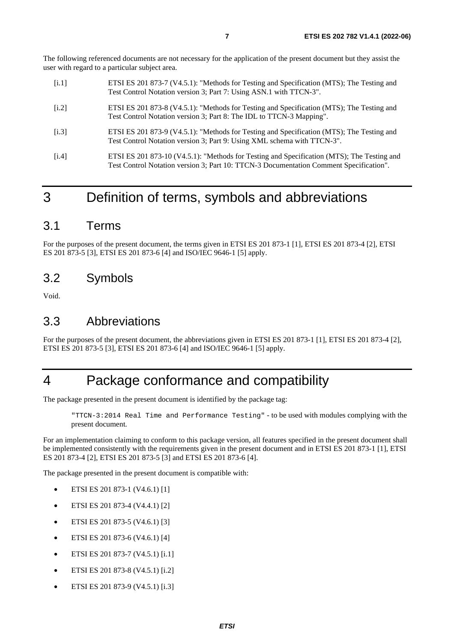<span id="page-6-0"></span>The following referenced documents are not necessary for the application of the present document but they assist the user with regard to a particular subject area.

- [i.1] ETSI ES 201 873-7 (V4.5.1): "Methods for Testing and Specification (MTS); The Testing and Test Control Notation version 3; Part 7: Using ASN.1 with TTCN-3".
- [i.2] ETSI ES 201 873-8 (V4.5.1): "Methods for Testing and Specification (MTS); The Testing and Test Control Notation version 3; Part 8: The IDL to TTCN-3 Mapping".
- [i.3] ETSI ES 201 873-9 (V4.5.1): "Methods for Testing and Specification (MTS); The Testing and Test Control Notation version 3; Part 9: Using XML schema with TTCN-3".
- [i.4] ETSI ES 201 873-10 (V4.5.1): "Methods for Testing and Specification (MTS); The Testing and Test Control Notation version 3; Part 10: TTCN-3 Documentation Comment Specification".

### 3 Definition of terms, symbols and abbreviations

### 3.1 Terms

For the purposes of the present document, the terms given in ETSI ES 201 873-1 [\[1](#page-5-0)], ETSI ES 201 873-4 [\[2](#page-5-0)], ETSI ES 201 873-5 [\[3](#page-5-0)], ETSI ES 201 873-6 [\[4](#page-5-0)] and ISO/IEC 9646-1 [\[5](#page-5-0)] apply.

### 3.2 Symbols

Void.

### 3.3 Abbreviations

For the purposes of the present document, the abbreviations given in ETSI ES 201 873-1 [[1\]](#page-5-0), ETSI ES 201 873-4 [\[2](#page-5-0)], ETSI ES 201 873-5 [\[3](#page-5-0)], ETSI ES 201 873-6 [[4\]](#page-5-0) and ISO/IEC 9646-1 [\[5](#page-5-0)] apply.

### 4 Package conformance and compatibility

The package presented in the present document is identified by the package tag:

"TTCN-3:2014 Real Time and Performance Testing" - to be used with modules complying with the present document*.*

For an implementation claiming to conform to this package version, all features specified in the present document shall be implemented consistently with the requirements given in the present document and in ETSI ES 201 873-1 [[1\]](#page-5-0), ETSI ES 201 873-4 [\[2](#page-5-0)], ETSI ES 201 873-5 [\[3](#page-5-0)] and ETSI ES 201 873-6 [[4\]](#page-5-0).

The package presented in the present document is compatible with:

- ETSI ES 201 873-1 (V4.6.1) [\[1](#page-5-0)]
- ETSI ES 201 873-4 (V4.4.1) [\[2](#page-5-0)]
- ETSI ES 201 873-5 (V4.6.1) [\[3](#page-5-0)]
- ETSI ES 201 873-6 (V4.6.1) [\[4](#page-5-0)]
- ETSI ES 201 873-7 (V4.5.1) [i.1]
- ETSI ES 201 873-8 (V4.5.1) [i.2]
- ETSI ES 201 873-9 (V4.5.1) [i.3]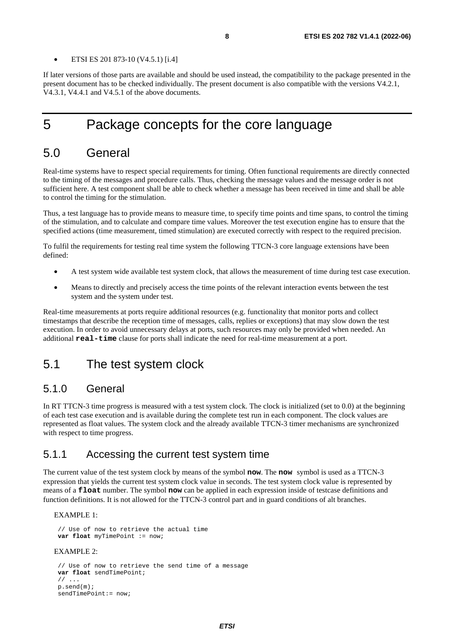<span id="page-7-0"></span>If later versions of those parts are available and should be used instead, the compatibility to the package presented in the present document has to be checked individually. The present document is also compatible with the versions V4.2.1, V4.3.1, V4.4.1 and V4.5.1 of the above documents.

### 5 Package concepts for the core language

### 5.0 General

Real-time systems have to respect special requirements for timing. Often functional requirements are directly connected to the timing of the messages and procedure calls. Thus, checking the message values and the message order is not sufficient here. A test component shall be able to check whether a message has been received in time and shall be able to control the timing for the stimulation.

Thus, a test language has to provide means to measure time, to specify time points and time spans, to control the timing of the stimulation, and to calculate and compare time values. Moreover the test execution engine has to ensure that the specified actions (time measurement, timed stimulation) are executed correctly with respect to the required precision.

To fulfil the requirements for testing real time system the following TTCN-3 core language extensions have been defined:

- A test system wide available test system clock, that allows the measurement of time during test case execution.
- Means to directly and precisely access the time points of the relevant interaction events between the test system and the system under test.

Real-time measurements at ports require additional resources (e.g. functionality that monitor ports and collect timestamps that describe the reception time of messages, calls, replies or exceptions) that may slow down the test execution. In order to avoid unnecessary delays at ports, such resources may only be provided when needed. An additional **real-time** clause for ports shall indicate the need for real-time measurement at a port.

### 5.1 The test system clock

### 5.1.0 General

In RT TTCN-3 time progress is measured with a test system clock. The clock is initialized (set to 0.0) at the beginning of each test case execution and is available during the complete test run in each component. The clock values are represented as float values. The system clock and the already available TTCN-3 timer mechanisms are synchronized with respect to time progress.

### 5.1.1 Accessing the current test system time

The current value of the test system clock by means of the symbol **now**. The **now** symbol is used as a TTCN-3 expression that yields the current test system clock value in seconds. The test system clock value is represented by means of a **float** number. The symbol **now** can be applied in each expression inside of testcase definitions and function definitions. It is not allowed for the TTCN-3 control part and in guard conditions of alt branches.

#### EXAMPLE 1:

```
 // Use of now to retrieve the actual time 
var float myTimePoint := now;
```
#### EXAMPLE 2:

```
 // Use of now to retrieve the send time of a message 
var float sendTimePoint; 
11 \ldots p.send(m); 
 sendTimePoint:= now;
```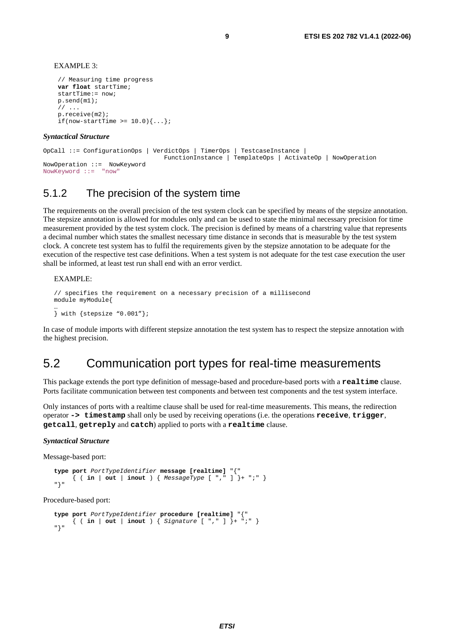<span id="page-8-0"></span>EXAMPLE 3:

```
 // Measuring time progress 
var float startTime; 
 startTime:= now; 
 p.send(m1); 
 // ... 
 p.receive(m2); 
if(now-startTime >= 10.0)\{ \ldots \};
```
#### *Syntactical Structure*

```
OpCall ::= ConfigurationOps | VerdictOps | TimerOps | TestcaseInstance | 
                                   FunctionInstance | TemplateOps | ActivateOp | NowOperation 
NowOperation ::= NowKeyword 
NowKeyword ::= "now"
```
### 5.1.2 The precision of the system time

The requirements on the overall precision of the test system clock can be specified by means of the stepsize annotation. The stepsize annotation is allowed for modules only and can be used to state the minimal necessary precision for time measurement provided by the test system clock. The precision is defined by means of a charstring value that represents a decimal number which states the smallest necessary time distance in seconds that is measurable by the test system clock. A concrete test system has to fulfil the requirements given by the stepsize annotation to be adequate for the execution of the respective test case definitions. When a test system is not adequate for the test case execution the user shall be informed, at least test run shall end with an error verdict.

#### EXAMPLE:

```
// specifies the requirement on a necessary precision of a millisecond 
module myModule{ 
… 
} with {stepsize "0.001"};
```
In case of module imports with different stepsize annotation the test system has to respect the stepsize annotation with the highest precision.

### 5.2 Communication port types for real-time measurements

This package extends the port type definition of message-based and procedure-based ports with a **realtime** clause. Ports facilitate communication between test components and between test components and the test system interface.

Only instances of ports with a realtime clause shall be used for real-time measurements. This means, the redirection operator **-> timestamp** shall only be used by receiving operations (i.e. the operations **receive**, **trigger**, **getcall**, **getreply** and **catch**) applied to ports with a **realtime** clause.

#### *Syntactical Structure*

Message-based port:

```
type port PortTypeIdentifier message [realtime] "{" 
      { ( in | out | inout ) { MessageType [ "," ] }+ ";" } 
"}"
```
Procedure-based port:

```
type port PortTypeIdentifier procedure [realtime] "{" 
      { ( in | out | inout ) { Signature [ "," ] }+ ";" } 
"}"
```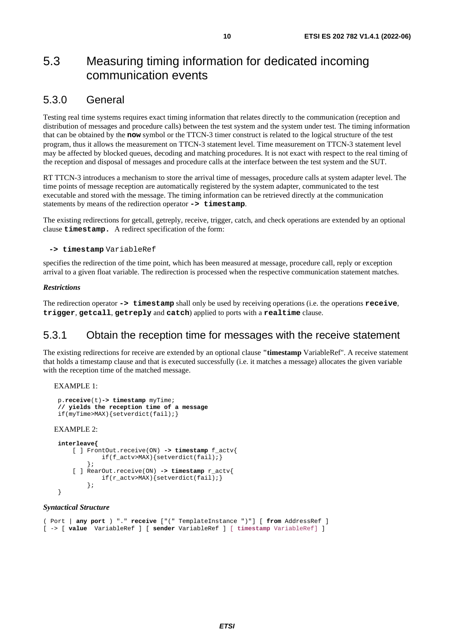### <span id="page-9-0"></span>5.3 Measuring timing information for dedicated incoming communication events

### 5.3.0 General

Testing real time systems requires exact timing information that relates directly to the communication (reception and distribution of messages and procedure calls) between the test system and the system under test. The timing information that can be obtained by the **now** symbol or the TTCN-3 timer construct is related to the logical structure of the test program, thus it allows the measurement on TTCN-3 statement level. Time measurement on TTCN-3 statement level may be affected by blocked queues, decoding and matching procedures. It is not exact with respect to the real timing of the reception and disposal of messages and procedure calls at the interface between the test system and the SUT.

RT TTCN-3 introduces a mechanism to store the arrival time of messages, procedure calls at system adapter level. The time points of message reception are automatically registered by the system adapter, communicated to the test executable and stored with the message. The timing information can be retrieved directly at the communication statements by means of the redirection operator **-> timestamp**.

The existing redirections for getcall, getreply, receive, trigger, catch, and check operations are extended by an optional clause **timestamp.** A redirect specification of the form:

#### **-> timestamp** VariableRef

specifies the redirection of the time point, which has been measured at message, procedure call, reply or exception arrival to a given float variable. The redirection is processed when the respective communication statement matches.

#### *Restrictions*

The redirection operator **-> timestamp** shall only be used by receiving operations (i.e. the operations **receive**, **trigger**, **getcall**, **getreply** and **catch**) applied to ports with a **realtime** clause.

### 5.3.1 Obtain the reception time for messages with the receive statement

The existing redirections for receive are extended by an optional clause **"timestamp** VariableRef". A receive statement that holds a timestamp clause and that is executed successfully (i.e. it matches a message) allocates the given variable with the reception time of the matched message.

EXAMPLE 1:

```
 p.receive(t)-> timestamp myTime; 
 // yields the reception time of a message 
 if(myTime>MAX){setverdict(fail);}
```
EXAMPLE 2:

```
interleave{
     [ ] FrontOut.receive(ON) -> timestamp f_actv{ 
              if(f_actv>MAX){setverdict(fail);} 
         }; 
     [ ] RearOut.receive(ON) -> timestamp r_actv{ 
              if(r_actv>MAX){setverdict(fail);} 
          }; 
 }
```
#### *Syntactical Structure*

```
( Port | any port ) "." receive ["(" TemplateInstance ")"] [ from AddressRef ]
[ -> [ value VariableRef ] [ sender VariableRef ] [ timestamp VariableRef] ]
```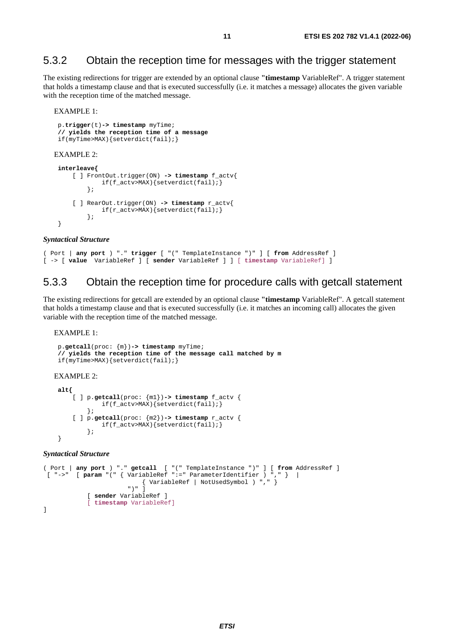### <span id="page-10-0"></span>5.3.2 Obtain the reception time for messages with the trigger statement

The existing redirections for trigger are extended by an optional clause **"timestamp** VariableRef". A trigger statement that holds a timestamp clause and that is executed successfully (i.e. it matches a message) allocates the given variable with the reception time of the matched message.

#### EXAMPLE 1:

```
 p.trigger(t)-> timestamp myTime; 
  // yields the reception time of a message 
  if(myTime>MAX){setverdict(fail);} 
EXAMPLE 2: 
 interleave{
      [ ] FrontOut.trigger(ON) -> timestamp f_actv{ 
              if(f_actv>MAX){setverdict(fail);}
          }; 
      [ ] RearOut.trigger(ON) -> timestamp r_actv{ 
             if(r\_actv>MAX)\ setverdict(fail); }
          }; 
  }
```
#### *Syntactical Structure*

```
( Port | any port ) "." trigger [ "(" TemplateInstance ")" ] [ from AddressRef ] 
[ -> [ value VariableRef ] [ sender VariableRef ] ] [ timestamp VariableRef] ]
```
### 5.3.3 Obtain the reception time for procedure calls with getcall statement

The existing redirections for getcall are extended by an optional clause **"timestamp** VariableRef". A getcall statement that holds a timestamp clause and that is executed successfully (i.e. it matches an incoming call) allocates the given variable with the reception time of the matched message.

#### EXAMPLE 1:

```
 p.getcall(proc: {m})-> timestamp myTime; 
  // yields the reception time of the message call matched by m 
  if(myTime>MAX){setverdict(fail);} 
EXAMPLE 2: 
 alt{
      [ ] p.getcall(proc: {m1})-> timestamp f_actv { 
               if(f_actv>MAX){setverdict(fail);} 
          }; 
      [ ] p.getcall(proc: {m2})-> timestamp r_actv { 
              if(f actv>MAX){setverdict(fail);}
          }; 
  }
```
#### *Syntactical Structure*

```
( Port | any port ) "." getcall [ "(" TemplateInstance ")" ] [ from AddressRef ] 
 [ "->" [ param "(" { VariableRef ":=" ParameterIdentifier ) "," } | 
 { VariableRef | NotUsedSymbol ) "," } 
                      ^{\prime}" ) ^{\prime} ]
            [ sender VariableRef ] 
             [ timestamp VariableRef] 
]
```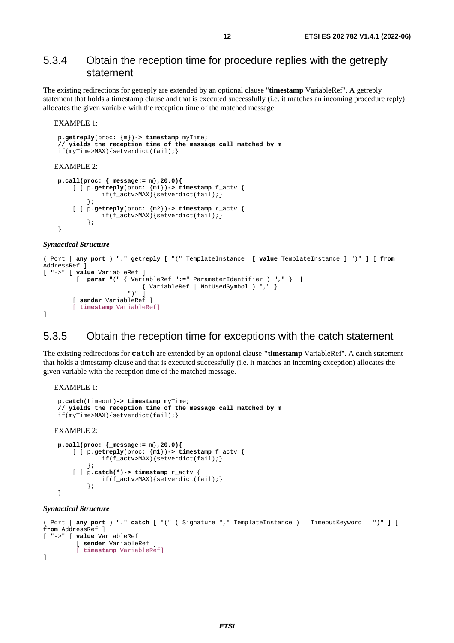### <span id="page-11-0"></span>5.3.4 Obtain the reception time for procedure replies with the getreply statement

The existing redirections for getreply are extended by an optional clause "**timestamp** VariableRef". A getreply statement that holds a timestamp clause and that is executed successfully (i.e. it matches an incoming procedure reply) allocates the given variable with the reception time of the matched message.

#### EXAMPLE 1:

```
 p.getreply(proc: {m})-> timestamp myTime; 
  // yields the reception time of the message call matched by m 
  if(myTime>MAX){setverdict(fail);} 
EXAMPLE 2: 
 p.call(proc: {_message:= m},20.0){
      [ ] p.getreply(proc: {m1})-> timestamp f_actv { 
              if(f_actv>MAX){setverdict(fail);} 
          }; 
      [ ] p.getreply(proc: {m2})-> timestamp r_actv { 
               if(f_actv>MAX){setverdict(fail);} 
          }; 
  }
```
#### *Syntactical Structure*

```
( Port | any port ) "." getreply [ "(" TemplateInstance [ value TemplateInstance ] ")" ] [ from
AddressRef ]
[ "->" [ value VariableRef ] 
            [ param "(" { VariableRef ":=" ParameterIdentifier ) "," } | 
                              { \left\{\begin{array}{l} \text{VariableRef} \end{array} \middle| \begin{array}{l} \text{NotUsedSymbol} \end{array} \right) \text{ " , " }} \end{array} } ")" ] 
           [ sender VariableRef ] 
           [ timestamp VariableRef] 
]
```
#### 5.3.5 Obtain the reception time for exceptions with the catch statement

The existing redirections for **catch** are extended by an optional clause **"timestamp** VariableRef". A catch statement that holds a timestamp clause and that is executed successfully (i.e. it matches an incoming exception) allocates the given variable with the reception time of the matched message.

EXAMPLE 1:

```
 p.catch(timeout)-> timestamp myTime; 
  // yields the reception time of the message call matched by m 
  if(myTime>MAX){setverdict(fail);} 
EXAMPLE 2: 
 p.call(proc: {_message:= m},20.0){
      [ ] p.getreply(proc: {m1})-> timestamp f_actv { 
               if(f_actv>MAX){setverdict(fail);} 
          }; 
      [ ] p.catch(*)-> timestamp r_actv { 
               if(f_actv>MAX){setverdict(fail);} 
          };
```
### *Syntactical Structure*

}

```
( Port | any port ) "." catch [ "(" ( Signature "," TemplateInstance ) | TimeoutKeyword ")" ] [ 
from AddressRef ]
[ "->" [ value VariableRef 
          [ sender VariableRef ] 
          [ timestamp VariableRef] 
]
```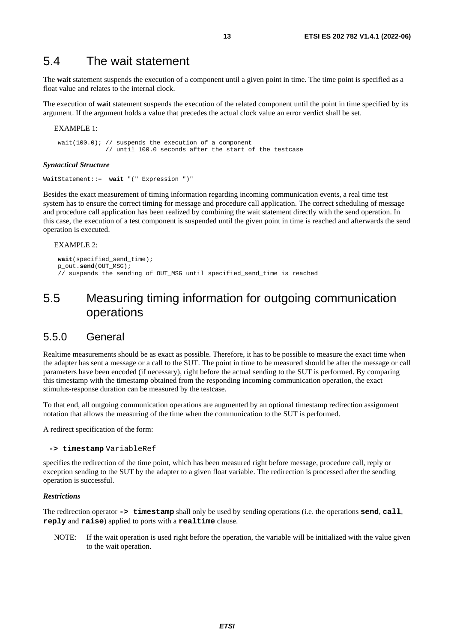### <span id="page-12-0"></span>5.4 The wait statement

The **wait** statement suspends the execution of a component until a given point in time. The time point is specified as a float value and relates to the internal clock.

The execution of **wait** statement suspends the execution of the related component until the point in time specified by its argument. If the argument holds a value that precedes the actual clock value an error verdict shall be set.

EXAMPLE 1:

 wait(100.0); // suspends the execution of a component // until 100.0 seconds after the start of the testcase

#### *Syntactical Structure*

WaitStatement::= **wait** "(" Expression ")"

Besides the exact measurement of timing information regarding incoming communication events, a real time test system has to ensure the correct timing for message and procedure call application. The correct scheduling of message and procedure call application has been realized by combining the wait statement directly with the send operation. In this case, the execution of a test component is suspended until the given point in time is reached and afterwards the send operation is executed.

#### EXAMPLE 2:

```
wait(specified_send_time); 
 p_out.send(OUT_MSG); 
 // suspends the sending of OUT_MSG until specified_send_time is reached
```
### 5.5 Measuring timing information for outgoing communication operations

#### 5.5.0 General

Realtime measurements should be as exact as possible. Therefore, it has to be possible to measure the exact time when the adapter has sent a message or a call to the SUT. The point in time to be measured should be after the message or call parameters have been encoded (if necessary), right before the actual sending to the SUT is performed. By comparing this timestamp with the timestamp obtained from the responding incoming communication operation, the exact stimulus-response duration can be measured by the testcase.

To that end, all outgoing communication operations are augmented by an optional timestamp redirection assignment notation that allows the measuring of the time when the communication to the SUT is performed.

A redirect specification of the form:

```
 -> timestamp VariableRef
```
specifies the redirection of the time point, which has been measured right before message, procedure call, reply or exception sending to the SUT by the adapter to a given float variable. The redirection is processed after the sending operation is successful.

#### *Restrictions*

The redirection operator **-> timestamp** shall only be used by sending operations (i.e. the operations **send**, **call**, **reply** and **raise**) applied to ports with a **realtime** clause.

NOTE: If the wait operation is used right before the operation, the variable will be initialized with the value given to the wait operation.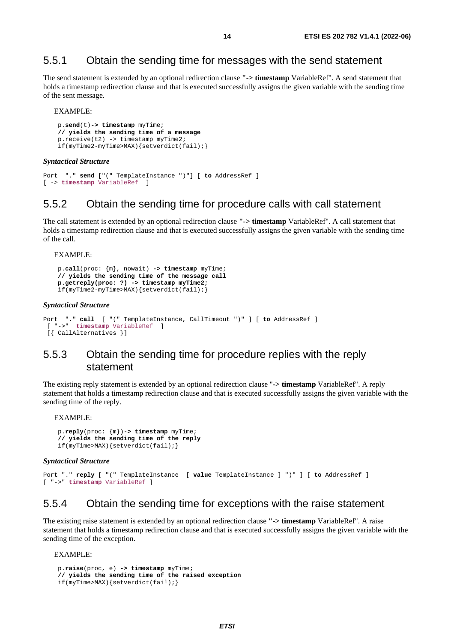### <span id="page-13-0"></span>5.5.1 Obtain the sending time for messages with the send statement

The send statement is extended by an optional redirection clause **"-> timestamp** VariableRef". A send statement that holds a timestamp redirection clause and that is executed successfully assigns the given variable with the sending time of the sent message.

EXAMPLE:

```
 p.send(t)-> timestamp myTime; 
 // yields the sending time of a message 
 p.receive(t2) -> timestamp myTime2; 
 if(myTime2-myTime>MAX){setverdict(fail);}
```
*Syntactical Structure* 

```
Port "." send ["(" TemplateInstance ")"] [ to AddressRef ]
[ -> timestamp VariableRef ]
```
#### 5.5.2 Obtain the sending time for procedure calls with call statement

The call statement is extended by an optional redirection clause **"-> timestamp** VariableRef". A call statement that holds a timestamp redirection clause and that is executed successfully assigns the given variable with the sending time of the call.

#### EXAMPLE:

```
 p.call(proc: {m}, nowait) -> timestamp myTime; 
 // yields the sending time of the message call 
 p.getreply(proc: ?) -> timestamp myTime2; 
 if(myTime2-myTime>MAX){setverdict(fail);}
```
#### *Syntactical Structure*

```
Port "." call [ "(" TemplateInstance, CallTimeout ")" ] [ to AddressRef ]
 [ "->" timestamp VariableRef ] 
 [{ CallAlternatives }]
```
### 5.5.3 Obtain the sending time for procedure replies with the reply statement

The existing reply statement is extended by an optional redirection clause "**-> timestamp** VariableRef". A reply statement that holds a timestamp redirection clause and that is executed successfully assigns the given variable with the sending time of the reply.

EXAMPLE:

```
 p.reply(proc: {m})-> timestamp myTime; 
 // yields the sending time of the reply 
 if(myTime>MAX){setverdict(fail);}
```
#### *Syntactical Structure*

```
Port "." reply [ "(" TemplateInstance [ value TemplateInstance ] ")" ] [ to AddressRef ]
[ "->" timestamp VariableRef ]
```
### 5.5.4 Obtain the sending time for exceptions with the raise statement

The existing raise statement is extended by an optional redirection clause **"-> timestamp** VariableRef". A raise statement that holds a timestamp redirection clause and that is executed successfully assigns the given variable with the sending time of the exception.

#### EXAMPLE:

```
 p.raise(proc, e) -> timestamp myTime; 
 // yields the sending time of the raised exception
 if(myTime>MAX){setverdict(fail);}
```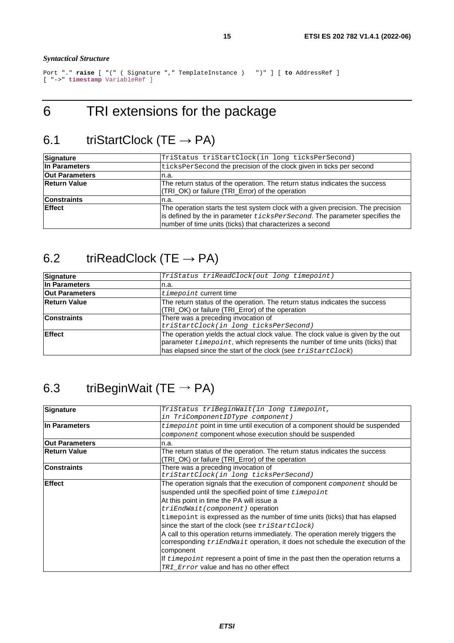#### <span id="page-14-0"></span>*Syntactical Structure*

```
Port "." raise [ "(" ( Signature "," TemplateInstance ) ")" ] [ to AddressRef ]
[ "->" timestamp VariableRef ]
```
## 6 TRI extensions for the package

## 6.1 triStartClock (TE  $\rightarrow$  PA)

| Signature             | TriStatus triStartClock(in long ticksPerSecond)                                                                                                                                                                                    |  |  |
|-----------------------|------------------------------------------------------------------------------------------------------------------------------------------------------------------------------------------------------------------------------------|--|--|
| In Parameters         | ticksPerSecond the precision of the clock given in ticks per second                                                                                                                                                                |  |  |
| <b>Out Parameters</b> | In.a.                                                                                                                                                                                                                              |  |  |
| <b>Return Value</b>   | The return status of the operation. The return status indicates the success<br>(TRI_OK) or failure (TRI_Error) of the operation                                                                                                    |  |  |
| <b>Constraints</b>    | In.a.                                                                                                                                                                                                                              |  |  |
| <b>IEffect</b>        | The operation starts the test system clock with a given precision. The precision<br>is defined by the in parameter <i>ticksPerSecond</i> . The parameter specifies the<br>number of time units (ticks) that characterizes a second |  |  |

## 6.2 triReadClock (TE  $\rightarrow$  PA)

| Signature             | TriStatus triReadClock(out long timepoint)                                                                                                                                                                                              |  |  |
|-----------------------|-----------------------------------------------------------------------------------------------------------------------------------------------------------------------------------------------------------------------------------------|--|--|
| In Parameters         | n.a.                                                                                                                                                                                                                                    |  |  |
| <b>Out Parameters</b> | $t$ <i>imepoint</i> current time                                                                                                                                                                                                        |  |  |
| <b>Return Value</b>   | The return status of the operation. The return status indicates the success<br>(TRI_OK) or failure (TRI_Error) of the operation                                                                                                         |  |  |
| <b>Constraints</b>    | There was a preceding invocation of<br>triStartClock(in long ticksPerSecond)                                                                                                                                                            |  |  |
| <b>Effect</b>         | The operation yields the actual clock value. The clock value is given by the out<br>parameter <i>timepoint</i> , which represents the number of time units (ticks) that<br>has elapsed since the start of the clock (see triStartClock) |  |  |

## 6.3 triBeginWait (TE  $\rightarrow$  PA)

| Signature             | TriStatus triBeginWait(in long timepoint,                                                                                                                               |
|-----------------------|-------------------------------------------------------------------------------------------------------------------------------------------------------------------------|
|                       | in TriComponentIDType component)                                                                                                                                        |
| In Parameters         | <i>time point</i> point in time until execution of a component should be suspended                                                                                      |
|                       | component component whose execution should be suspended                                                                                                                 |
| <b>Out Parameters</b> | n.a.                                                                                                                                                                    |
| <b>Return Value</b>   | The return status of the operation. The return status indicates the success                                                                                             |
|                       | (TRI_OK) or failure (TRI_Error) of the operation                                                                                                                        |
| <b>Constraints</b>    | There was a preceding invocation of                                                                                                                                     |
|                       | triStartClock(in long ticksPerSecond)                                                                                                                                   |
| <b>Effect</b>         | The operation signals that the execution of component <i>component</i> should be                                                                                        |
|                       | suspended until the specified point of time timepoint                                                                                                                   |
|                       | At this point in time the PA will issue a                                                                                                                               |
|                       | $trifEndWait(component)$ operation                                                                                                                                      |
|                       | time point is expressed as the number of time units (ticks) that has elapsed                                                                                            |
|                       | since the start of the clock (see triStartClock)                                                                                                                        |
|                       | A call to this operation returns immediately. The operation merely triggers the<br>corresponding <i>triEndWait</i> operation, it does not schedule the execution of the |
|                       | component                                                                                                                                                               |
|                       | If <i>time point</i> represent a point of time in the past then the operation returns a                                                                                 |
|                       | TRI Error value and has no other effect                                                                                                                                 |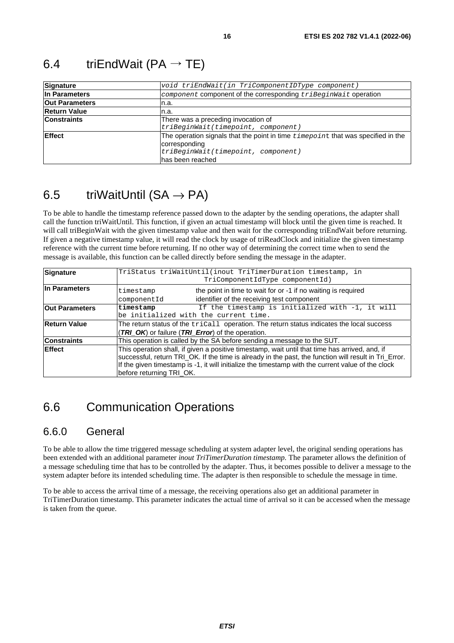| <b>Signature</b>      | void triEndWait(in TriComponentIDType component)                                           |  |  |
|-----------------------|--------------------------------------------------------------------------------------------|--|--|
| In Parameters         | <i>component</i> component of the corresponding $tri$ BeginWait operation                  |  |  |
| <b>Out Parameters</b> | n.a.                                                                                       |  |  |
| <b>Return Value</b>   | n.a.                                                                                       |  |  |
| <b>Constraints</b>    | There was a preceding invocation of                                                        |  |  |
|                       | triBeginWait(timepoint, component)                                                         |  |  |
| <b>Effect</b>         | The operation signals that the point in time $t$ <i>imepoint</i> that was specified in the |  |  |
|                       | corresponding                                                                              |  |  |
|                       | triBeginWait(timepoint, component)                                                         |  |  |
|                       | has been reached                                                                           |  |  |

## <span id="page-15-0"></span>6.4 triEndWait (PA  $\rightarrow$  TE)

### 6.5 triWaitUntil  $(SA \rightarrow PA)$

To be able to handle the timestamp reference passed down to the adapter by the sending operations, the adapter shall call the function triWaitUntil. This function, if given an actual timestamp will block until the given time is reached. It will call triBeginWait with the given timestamp value and then wait for the corresponding triEndWait before returning. If given a negative timestamp value, it will read the clock by usage of triReadClock and initialize the given timestamp reference with the current time before returning. If no other way of determining the correct time when to send the message is available, this function can be called directly before sending the message in the adapter.

| <b>Signature</b>         | TriStatus triWaitUntil(inout TriTimerDuration timestamp, in                                           |  |  |
|--------------------------|-------------------------------------------------------------------------------------------------------|--|--|
|                          | TriComponentIdType componentId)                                                                       |  |  |
| In Parameters            | the point in time to wait for or -1 if no waiting is required<br>timestamp                            |  |  |
|                          | identifier of the receiving test component<br>componentId                                             |  |  |
| <b>Out Parameters</b>    | If the timestamp is initialized with -1, it will<br>timestamp                                         |  |  |
|                          | be initialized with the current time.                                                                 |  |  |
| <b>Return Value</b>      | The return status of the tricall operation. The return status indicates the local success             |  |  |
|                          | (TRI_OK) or failure (TRI_Error) of the operation.                                                     |  |  |
| <b>Constraints</b>       | This operation is called by the SA before sending a message to the SUT.                               |  |  |
| <b>Effect</b>            | This operation shall, if given a positive timestamp, wait until that time has arrived, and, if        |  |  |
|                          | successful, return TRI_OK. If the time is already in the past, the function will result in Tri_Error. |  |  |
|                          | If the given timestamp is -1, it will initialize the timestamp with the current value of the clock    |  |  |
| before returning TRI OK. |                                                                                                       |  |  |

### 6.6 Communication Operations

### 6.6.0 General

To be able to allow the time triggered message scheduling at system adapter level, the original sending operations has been extended with an additional parameter *inout TriTimerDuration timestamp.* The parameter allows the definition of a message scheduling time that has to be controlled by the adapter. Thus, it becomes possible to deliver a message to the system adapter before its intended scheduling time. The adapter is then responsible to schedule the message in time.

To be able to access the arrival time of a message, the receiving operations also get an additional parameter in TriTimerDuration timestamp. This parameter indicates the actual time of arrival so it can be accessed when the message is taken from the queue.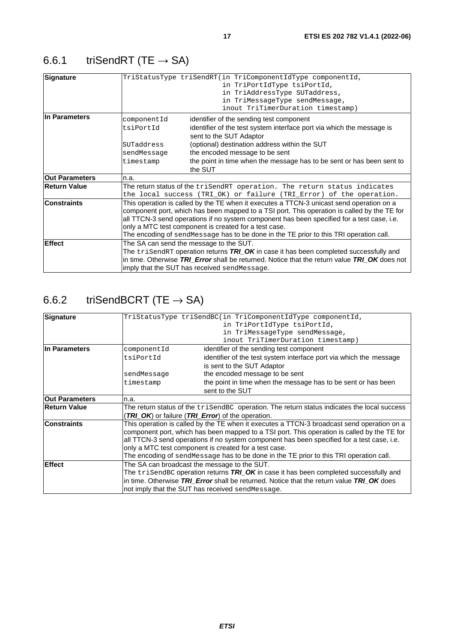## <span id="page-16-0"></span>6.6.1 triSendRT (TE  $\rightarrow$  SA)

| Signature             |                                                                                                                                                                                                                                                                                                                                                                                                                                          | TriStatusType triSendRT(in TriComponentIdType componentId,<br>in TriPortIdType tsiPortId,<br>in TriAddressType SUTaddress,<br>in TriMessageType sendMessage,<br>inout TriTimerDuration timestamp)                                                                                                                   |  |
|-----------------------|------------------------------------------------------------------------------------------------------------------------------------------------------------------------------------------------------------------------------------------------------------------------------------------------------------------------------------------------------------------------------------------------------------------------------------------|---------------------------------------------------------------------------------------------------------------------------------------------------------------------------------------------------------------------------------------------------------------------------------------------------------------------|--|
| In Parameters         | componentId<br>tsiPortId<br>SUTaddress<br>sendMessage<br>timestamp                                                                                                                                                                                                                                                                                                                                                                       | identifier of the sending test component<br>identifier of the test system interface port via which the message is<br>sent to the SUT Adaptor<br>(optional) destination address within the SUT<br>the encoded message to be sent<br>the point in time when the message has to be sent or has been sent to<br>the SUT |  |
| <b>Out Parameters</b> | n.a.                                                                                                                                                                                                                                                                                                                                                                                                                                     |                                                                                                                                                                                                                                                                                                                     |  |
| <b>Return Value</b>   |                                                                                                                                                                                                                                                                                                                                                                                                                                          | The return status of the triSendRT operation. The return status indicates<br>the local success (TRI_OK) or failure (TRI_Error) of the operation.                                                                                                                                                                    |  |
| <b>Constraints</b>    | This operation is called by the TE when it executes a TTCN-3 unicast send operation on a<br>component port, which has been mapped to a TSI port. This operation is called by the TE for<br>all TTCN-3 send operations if no system component has been specified for a test case, i.e.<br>only a MTC test component is created for a test case.<br>The encoding of sendMessage has to be done in the TE prior to this TRI operation call. |                                                                                                                                                                                                                                                                                                                     |  |
| Effect                | The SA can send the message to the SUT.<br>The $\text{trisendRT}$ operation returns $\textit{TRI\_OK}$ in case it has been completed successfully and<br>in time. Otherwise TRI Error shall be returned. Notice that the return value TRI OK does not<br>imply that the SUT has received sendMessage.                                                                                                                                    |                                                                                                                                                                                                                                                                                                                     |  |

## 6.6.2 triSendBCRT (TE  $\rightarrow$  SA)

| Signature                                                                                                                                                                                                                              |                                                                                                                                                                                                                                                                                                                                                                                                                                            | TriStatusType triSendBC(in TriComponentIdType componentId,         |
|----------------------------------------------------------------------------------------------------------------------------------------------------------------------------------------------------------------------------------------|--------------------------------------------------------------------------------------------------------------------------------------------------------------------------------------------------------------------------------------------------------------------------------------------------------------------------------------------------------------------------------------------------------------------------------------------|--------------------------------------------------------------------|
|                                                                                                                                                                                                                                        |                                                                                                                                                                                                                                                                                                                                                                                                                                            | in TriPortIdType tsiPortId,                                        |
|                                                                                                                                                                                                                                        |                                                                                                                                                                                                                                                                                                                                                                                                                                            | in TriMessageType sendMessage,                                     |
|                                                                                                                                                                                                                                        |                                                                                                                                                                                                                                                                                                                                                                                                                                            | inout TriTimerDuration timestamp)                                  |
| In Parameters<br>componentId                                                                                                                                                                                                           |                                                                                                                                                                                                                                                                                                                                                                                                                                            | identifier of the sending test component                           |
|                                                                                                                                                                                                                                        | tsiPortId                                                                                                                                                                                                                                                                                                                                                                                                                                  | identifier of the test system interface port via which the message |
|                                                                                                                                                                                                                                        |                                                                                                                                                                                                                                                                                                                                                                                                                                            | is sent to the SUT Adaptor                                         |
|                                                                                                                                                                                                                                        | sendMessage                                                                                                                                                                                                                                                                                                                                                                                                                                | the encoded message to be sent                                     |
|                                                                                                                                                                                                                                        | timestamp                                                                                                                                                                                                                                                                                                                                                                                                                                  | the point in time when the message has to be sent or has been      |
|                                                                                                                                                                                                                                        |                                                                                                                                                                                                                                                                                                                                                                                                                                            | sent to the SUT                                                    |
| <b>Out Parameters</b>                                                                                                                                                                                                                  | n.a.                                                                                                                                                                                                                                                                                                                                                                                                                                       |                                                                    |
| <b>Return Value</b>                                                                                                                                                                                                                    | The return status of the $tri$ SendBC operation. The return status indicates the local success                                                                                                                                                                                                                                                                                                                                             |                                                                    |
|                                                                                                                                                                                                                                        |                                                                                                                                                                                                                                                                                                                                                                                                                                            | (TRI_OK) or failure (TRI_Error) of the operation.                  |
| <b>Constraints</b>                                                                                                                                                                                                                     | This operation is called by the TE when it executes a TTCN-3 broadcast send operation on a<br>component port, which has been mapped to a TSI port. This operation is called by the TE for<br>all TTCN-3 send operations if no system component has been specified for a test case, i.e.<br>only a MTC test component is created for a test case.<br>The encoding of sendMessage has to be done in the TE prior to this TRI operation call. |                                                                    |
| <b>Effect</b>                                                                                                                                                                                                                          | The SA can broadcast the message to the SUT.                                                                                                                                                                                                                                                                                                                                                                                               |                                                                    |
| The trisendBC operation returns TRI_OK in case it has been completed successfully and<br>in time. Otherwise TRI Error shall be returned. Notice that the return value TRI OK does<br>not imply that the SUT has received send Message. |                                                                                                                                                                                                                                                                                                                                                                                                                                            |                                                                    |
|                                                                                                                                                                                                                                        |                                                                                                                                                                                                                                                                                                                                                                                                                                            |                                                                    |
|                                                                                                                                                                                                                                        |                                                                                                                                                                                                                                                                                                                                                                                                                                            |                                                                    |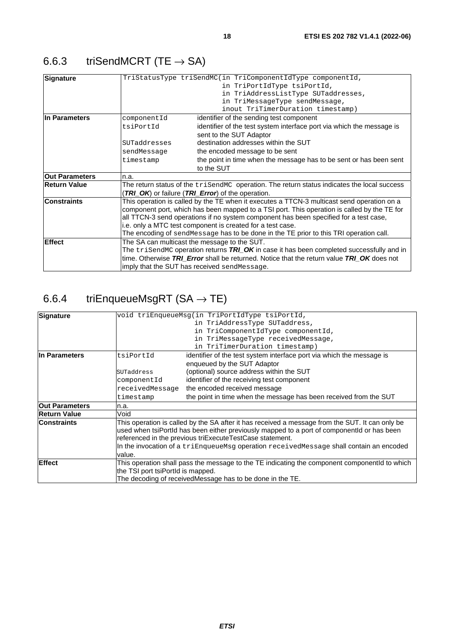### <span id="page-17-0"></span>6.6.3 triSendMCRT (TE  $\rightarrow$  SA)

|                                                                                                                                                                                                                                               | TriStatusType triSendMC(in TriComponentIdType componentId,                                  |  |                                              |                                                                                                               |
|-----------------------------------------------------------------------------------------------------------------------------------------------------------------------------------------------------------------------------------------------|---------------------------------------------------------------------------------------------|--|----------------------------------------------|---------------------------------------------------------------------------------------------------------------|
|                                                                                                                                                                                                                                               | in TriPortIdType tsiPortId,                                                                 |  |                                              |                                                                                                               |
|                                                                                                                                                                                                                                               | in TriAddressListType SUTaddresses,                                                         |  |                                              |                                                                                                               |
|                                                                                                                                                                                                                                               | in TriMessageType sendMessage,                                                              |  |                                              |                                                                                                               |
|                                                                                                                                                                                                                                               | inout TriTimerDuration timestamp)                                                           |  |                                              |                                                                                                               |
| componentId                                                                                                                                                                                                                                   | identifier of the sending test component                                                    |  |                                              |                                                                                                               |
| tsiPortId                                                                                                                                                                                                                                     | identifier of the test system interface port via which the message is                       |  |                                              |                                                                                                               |
|                                                                                                                                                                                                                                               | sent to the SUT Adaptor                                                                     |  |                                              |                                                                                                               |
| SUTaddresses                                                                                                                                                                                                                                  | destination addresses within the SUT                                                        |  |                                              |                                                                                                               |
| sendMessage                                                                                                                                                                                                                                   | the encoded message to be sent                                                              |  |                                              |                                                                                                               |
| timestamp                                                                                                                                                                                                                                     | the point in time when the message has to be sent or has been sent                          |  |                                              |                                                                                                               |
|                                                                                                                                                                                                                                               | to the SUT                                                                                  |  |                                              |                                                                                                               |
| n.a.                                                                                                                                                                                                                                          |                                                                                             |  |                                              |                                                                                                               |
| The return status of the trisendMC operation. The return status indicates the local success                                                                                                                                                   |                                                                                             |  |                                              |                                                                                                               |
|                                                                                                                                                                                                                                               | (TRI_OK) or failure (TRI_Error) of the operation.                                           |  |                                              |                                                                                                               |
|                                                                                                                                                                                                                                               | This operation is called by the TE when it executes a TTCN-3 multicast send operation on a  |  |                                              |                                                                                                               |
|                                                                                                                                                                                                                                               | component port, which has been mapped to a TSI port. This operation is called by the TE for |  |                                              |                                                                                                               |
| all TTCN-3 send operations if no system component has been specified for a test case,<br>i.e. only a MTC test component is created for a test case.<br>The encoding of sendMessage has to be done in the TE prior to this TRI operation call. |                                                                                             |  |                                              |                                                                                                               |
|                                                                                                                                                                                                                                               |                                                                                             |  | The SA can multicast the message to the SUT. |                                                                                                               |
|                                                                                                                                                                                                                                               |                                                                                             |  |                                              | The $\text{trisendMC}$ operation returns $\textit{TRI\_OK}$ in case it has been completed successfully and in |
| time. Otherwise TRI_Error shall be returned. Notice that the return value TRI_OK does not                                                                                                                                                     |                                                                                             |  |                                              |                                                                                                               |
|                                                                                                                                                                                                                                               | imply that the SUT has received sendMessage.                                                |  |                                              |                                                                                                               |
|                                                                                                                                                                                                                                               |                                                                                             |  |                                              |                                                                                                               |

## 6.6.4 triEnqueueMsgRT (SA  $\rightarrow$  TE)

| void triEnqueueMsq(in TriPortIdType tsiPortId,<br>Signature                                                           |                                                                   |  |
|-----------------------------------------------------------------------------------------------------------------------|-------------------------------------------------------------------|--|
| in TriAddressType SUTaddress,                                                                                         |                                                                   |  |
| in TriComponentIdType componentId,                                                                                    |                                                                   |  |
| in TriMessageType receivedMessage,                                                                                    |                                                                   |  |
|                                                                                                                       | in TriTimerDuration timestamp)                                    |  |
| In Parameters<br>identifier of the test system interface port via which the message is<br>tsiPortId                   |                                                                   |  |
|                                                                                                                       | enqueued by the SUT Adaptor                                       |  |
| SUTaddress                                                                                                            | (optional) source address within the SUT                          |  |
| componentId                                                                                                           | identifier of the receiving test component                        |  |
| receivedMessage                                                                                                       | the encoded received message                                      |  |
| timestamp                                                                                                             | the point in time when the message has been received from the SUT |  |
| n.a.                                                                                                                  |                                                                   |  |
| Void                                                                                                                  |                                                                   |  |
| This operation is called by the SA after it has received a message from the SUT. It can only be<br><b>Constraints</b> |                                                                   |  |
| used when tsiPortId has been either previously mapped to a port of componentId or has been                            |                                                                   |  |
| referenced in the previous triExecuteTestCase statement.                                                              |                                                                   |  |
| In the invocation of a triEnqueueMsg operation receivedMessage shall contain an encoded                               |                                                                   |  |
| value.                                                                                                                |                                                                   |  |
| <b>Effect</b><br>This operation shall pass the message to the TE indicating the component componentld to which        |                                                                   |  |
| the TSI port tsiPortId is mapped.                                                                                     |                                                                   |  |
| The decoding of receivedMessage has to be done in the TE.                                                             |                                                                   |  |
|                                                                                                                       |                                                                   |  |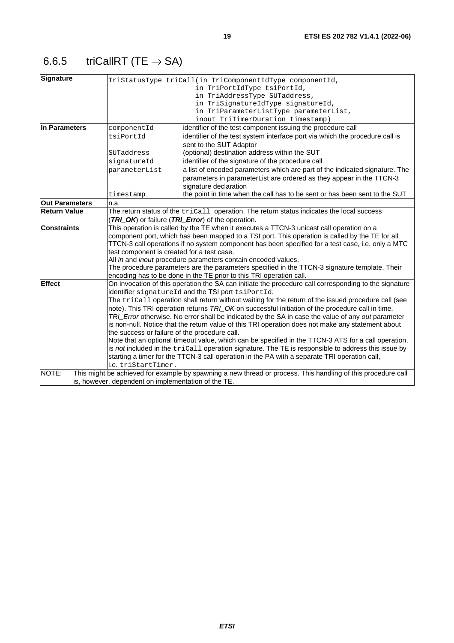## <span id="page-18-0"></span>6.6.5 triCallRT (TE  $\rightarrow$  SA)

| <b>Signature</b>                                                                                                       |                                                                                                                                                           | TriStatusType triCall(in TriComponentIdType componentId,                                                     |  |
|------------------------------------------------------------------------------------------------------------------------|-----------------------------------------------------------------------------------------------------------------------------------------------------------|--------------------------------------------------------------------------------------------------------------|--|
|                                                                                                                        |                                                                                                                                                           | in TriPortIdType tsiPortId,                                                                                  |  |
|                                                                                                                        |                                                                                                                                                           | in TriAddressType SUTaddress,                                                                                |  |
|                                                                                                                        |                                                                                                                                                           | in TriSignatureIdType signatureId,                                                                           |  |
|                                                                                                                        |                                                                                                                                                           | in TriParameterListType parameterList,                                                                       |  |
|                                                                                                                        |                                                                                                                                                           | inout TriTimerDuration timestamp)                                                                            |  |
| In Parameters                                                                                                          | componentId                                                                                                                                               | identifier of the test component issuing the procedure call                                                  |  |
|                                                                                                                        | tsiPortId                                                                                                                                                 | identifier of the test system interface port via which the procedure call is                                 |  |
|                                                                                                                        |                                                                                                                                                           | sent to the SUT Adaptor                                                                                      |  |
|                                                                                                                        | SUTaddress                                                                                                                                                | (optional) destination address within the SUT                                                                |  |
|                                                                                                                        | signatureId                                                                                                                                               | identifier of the signature of the procedure call                                                            |  |
|                                                                                                                        | parameterList                                                                                                                                             | a list of encoded parameters which are part of the indicated signature. The                                  |  |
|                                                                                                                        |                                                                                                                                                           | parameters in parameterList are ordered as they appear in the TTCN-3                                         |  |
|                                                                                                                        |                                                                                                                                                           | signature declaration                                                                                        |  |
|                                                                                                                        | timestamp                                                                                                                                                 | the point in time when the call has to be sent or has been sent to the SUT                                   |  |
| <b>Out Parameters</b>                                                                                                  | n.a.                                                                                                                                                      |                                                                                                              |  |
| <b>Return Value</b>                                                                                                    |                                                                                                                                                           | The return status of the $triCall$ operation. The return status indicates the local success                  |  |
|                                                                                                                        |                                                                                                                                                           | (TRI_OK) or failure (TRI_Error) of the operation.                                                            |  |
| <b>Constraints</b>                                                                                                     |                                                                                                                                                           | This operation is called by the TE when it executes a TTCN-3 unicast call operation on a                     |  |
|                                                                                                                        |                                                                                                                                                           | component port, which has been mapped to a TSI port. This operation is called by the TE for all              |  |
|                                                                                                                        | TTCN-3 call operations if no system component has been specified for a test case, i.e. only a MTC<br>test component is created for a test case.           |                                                                                                              |  |
|                                                                                                                        |                                                                                                                                                           |                                                                                                              |  |
|                                                                                                                        | All in and inout procedure parameters contain encoded values.                                                                                             |                                                                                                              |  |
| The procedure parameters are the parameters specified in the TTCN-3 signature template. Their                          |                                                                                                                                                           |                                                                                                              |  |
|                                                                                                                        | encoding has to be done in the TE prior to this TRI operation call.                                                                                       |                                                                                                              |  |
| <b>Effect</b><br>On invocation of this operation the SA can initiate the procedure call corresponding to the signature |                                                                                                                                                           |                                                                                                              |  |
|                                                                                                                        | identifier signatureId and the TSI port tsiPortId.<br>The tricall operation shall return without waiting for the return of the issued procedure call (see |                                                                                                              |  |
|                                                                                                                        |                                                                                                                                                           | note). This TRI operation returns TRI_OK on successful initiation of the procedure call in time,             |  |
|                                                                                                                        |                                                                                                                                                           | TRI_Error otherwise. No error shall be indicated by the SA in case the value of any out parameter            |  |
|                                                                                                                        |                                                                                                                                                           | is non-null. Notice that the return value of this TRI operation does not make any statement about            |  |
|                                                                                                                        | the success or failure of the procedure call.                                                                                                             |                                                                                                              |  |
|                                                                                                                        |                                                                                                                                                           | Note that an optional timeout value, which can be specified in the TTCN-3 ATS for a call operation,          |  |
|                                                                                                                        |                                                                                                                                                           | is not included in the tricall operation signature. The TE is responsible to address this issue by           |  |
|                                                                                                                        |                                                                                                                                                           | starting a timer for the TTCN-3 call operation in the PA with a separate TRI operation call,                 |  |
|                                                                                                                        | i.e. triStartTimer.                                                                                                                                       |                                                                                                              |  |
| NOTE:                                                                                                                  |                                                                                                                                                           | This might be achieved for example by spawning a new thread or process. This handling of this procedure call |  |
|                                                                                                                        | is, however, dependent on implementation of the TE.                                                                                                       |                                                                                                              |  |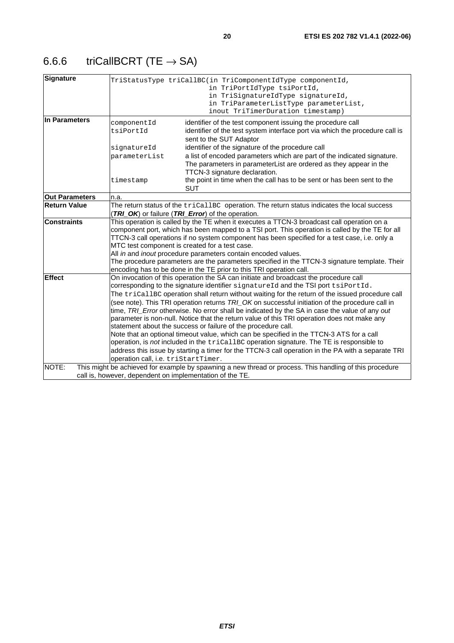## <span id="page-19-0"></span>6.6.6 triCallBCRT (TE  $\rightarrow$  SA)

| <b>Signature</b>      |                                                                                                                                                                                                  | TriStatusType triCallBC(in TriComponentIdType componentId,<br>in TriPortIdType tsiPortId,<br>in TriSignatureIdType signatureId, |  |
|-----------------------|--------------------------------------------------------------------------------------------------------------------------------------------------------------------------------------------------|---------------------------------------------------------------------------------------------------------------------------------|--|
|                       |                                                                                                                                                                                                  | in TriParameterListType parameterList,                                                                                          |  |
|                       |                                                                                                                                                                                                  | inout TriTimerDuration timestamp)                                                                                               |  |
| In Parameters         | componentId                                                                                                                                                                                      | identifier of the test component issuing the procedure call                                                                     |  |
|                       | tsiPortId                                                                                                                                                                                        | identifier of the test system interface port via which the procedure call is                                                    |  |
|                       |                                                                                                                                                                                                  | sent to the SUT Adaptor                                                                                                         |  |
|                       | signatureId                                                                                                                                                                                      | identifier of the signature of the procedure call                                                                               |  |
|                       | parameterList                                                                                                                                                                                    | a list of encoded parameters which are part of the indicated signature.                                                         |  |
|                       |                                                                                                                                                                                                  | The parameters in parameterList are ordered as they appear in the                                                               |  |
|                       |                                                                                                                                                                                                  | TTCN-3 signature declaration.                                                                                                   |  |
|                       | timestamp                                                                                                                                                                                        | the point in time when the call has to be sent or has been sent to the                                                          |  |
|                       |                                                                                                                                                                                                  | <b>SUT</b>                                                                                                                      |  |
| <b>Out Parameters</b> | n.a.                                                                                                                                                                                             |                                                                                                                                 |  |
| <b>Return Value</b>   | The return status of the tricallBC operation. The return status indicates the local success                                                                                                      |                                                                                                                                 |  |
|                       |                                                                                                                                                                                                  | (TRI_OK) or failure (TRI_Error) of the operation.                                                                               |  |
| <b>Constraints</b>    |                                                                                                                                                                                                  | This operation is called by the TE when it executes a TTCN-3 broadcast call operation on a                                      |  |
|                       | component port, which has been mapped to a TSI port. This operation is called by the TE for all<br>TTCN-3 call operations if no system component has been specified for a test case, i.e. only a |                                                                                                                                 |  |
|                       | MTC test component is created for a test case.                                                                                                                                                   |                                                                                                                                 |  |
|                       |                                                                                                                                                                                                  | All in and inout procedure parameters contain encoded values.                                                                   |  |
|                       |                                                                                                                                                                                                  | The procedure parameters are the parameters specified in the TTCN-3 signature template. Their                                   |  |
|                       |                                                                                                                                                                                                  | encoding has to be done in the TE prior to this TRI operation call.                                                             |  |
| <b>Effect</b>         |                                                                                                                                                                                                  | On invocation of this operation the SA can initiate and broadcast the procedure call                                            |  |
|                       |                                                                                                                                                                                                  | corresponding to the signature identifier signatureId and the TSI port tsiPortId.                                               |  |
|                       |                                                                                                                                                                                                  | The tricallBC operation shall return without waiting for the return of the issued procedure call                                |  |
|                       | (see note). This TRI operation returns TRI_OK on successful initiation of the procedure call in                                                                                                  |                                                                                                                                 |  |
|                       |                                                                                                                                                                                                  | time, TRI_Error otherwise. No error shall be indicated by the SA in case the value of any out                                   |  |
|                       |                                                                                                                                                                                                  | parameter is non-null. Notice that the return value of this TRI operation does not make any                                     |  |
|                       |                                                                                                                                                                                                  | statement about the success or failure of the procedure call.                                                                   |  |
|                       |                                                                                                                                                                                                  | Note that an optional timeout value, which can be specified in the TTCN-3 ATS for a call                                        |  |
|                       |                                                                                                                                                                                                  | operation, is not included in the tricallBC operation signature. The TE is responsible to                                       |  |
|                       |                                                                                                                                                                                                  | address this issue by starting a timer for the TTCN-3 call operation in the PA with a separate TRI                              |  |
|                       | operation call, i.e. triStartTimer.                                                                                                                                                              |                                                                                                                                 |  |
| NOTE:                 |                                                                                                                                                                                                  | This might be achieved for example by spawning a new thread or process. This handling of this procedure                         |  |
|                       |                                                                                                                                                                                                  | call is, however, dependent on implementation of the TE.                                                                        |  |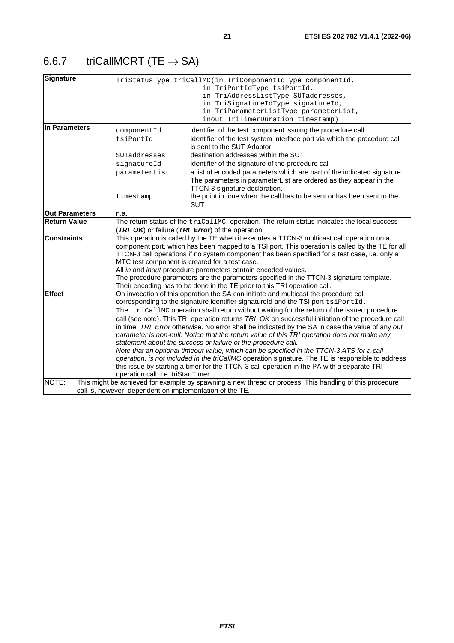## <span id="page-20-0"></span>6.6.7 triCallMCRT (TE  $\rightarrow$  SA)

| Signature             |                                                                                                                                                                                                                                                                                                                                                                                                                                                                                                                                                                                                                                                                                                                                                                                                                                                                                                                                                                                         | TriStatusType triCallMC(in TriComponentIdType componentId,<br>in TriPortIdType tsiPortId,<br>in TriAddressListType SUTaddresses,<br>in TriSignatureIdType signatureId,<br>in TriParameterListType parameterList,<br>inout TriTimerDuration timestamp)                                                                                                                                                                                                |
|-----------------------|-----------------------------------------------------------------------------------------------------------------------------------------------------------------------------------------------------------------------------------------------------------------------------------------------------------------------------------------------------------------------------------------------------------------------------------------------------------------------------------------------------------------------------------------------------------------------------------------------------------------------------------------------------------------------------------------------------------------------------------------------------------------------------------------------------------------------------------------------------------------------------------------------------------------------------------------------------------------------------------------|------------------------------------------------------------------------------------------------------------------------------------------------------------------------------------------------------------------------------------------------------------------------------------------------------------------------------------------------------------------------------------------------------------------------------------------------------|
| In Parameters         | componentId<br>tsiPortId<br>SUTaddresses<br>signatureId<br>parameterList                                                                                                                                                                                                                                                                                                                                                                                                                                                                                                                                                                                                                                                                                                                                                                                                                                                                                                                | identifier of the test component issuing the procedure call<br>identifier of the test system interface port via which the procedure call<br>is sent to the SUT Adaptor<br>destination addresses within the SUT<br>identifier of the signature of the procedure call<br>a list of encoded parameters which are part of the indicated signature.<br>The parameters in parameterList are ordered as they appear in the<br>TTCN-3 signature declaration. |
|                       | timestamp                                                                                                                                                                                                                                                                                                                                                                                                                                                                                                                                                                                                                                                                                                                                                                                                                                                                                                                                                                               | the point in time when the call has to be sent or has been sent to the<br><b>SUT</b>                                                                                                                                                                                                                                                                                                                                                                 |
| <b>Out Parameters</b> | n.a.                                                                                                                                                                                                                                                                                                                                                                                                                                                                                                                                                                                                                                                                                                                                                                                                                                                                                                                                                                                    |                                                                                                                                                                                                                                                                                                                                                                                                                                                      |
| <b>Return Value</b>   |                                                                                                                                                                                                                                                                                                                                                                                                                                                                                                                                                                                                                                                                                                                                                                                                                                                                                                                                                                                         | The return status of the tricallMC operation. The return status indicates the local success<br>(TRI_OK) or failure (TRI_Error) of the operation.                                                                                                                                                                                                                                                                                                     |
| <b>Constraints</b>    | This operation is called by the TE when it executes a TTCN-3 multicast call operation on a<br>component port, which has been mapped to a TSI port. This operation is called by the TE for all<br>TTCN-3 call operations if no system component has been specified for a test case, i.e. only a<br>MTC test component is created for a test case.<br>All in and inout procedure parameters contain encoded values.<br>The procedure parameters are the parameters specified in the TTCN-3 signature template.<br>Their encoding has to be done in the TE prior to this TRI operation call.                                                                                                                                                                                                                                                                                                                                                                                               |                                                                                                                                                                                                                                                                                                                                                                                                                                                      |
| <b>Effect</b>         | On invocation of this operation the SA can initiate and multicast the procedure call<br>corresponding to the signature identifier signatureld and the TSI port tsiPortId.<br>The triCallMC operation shall return without waiting for the return of the issued procedure<br>call (see note). This TRI operation returns TRI_OK on successful initiation of the procedure call<br>in time, TRI_Error otherwise. No error shall be indicated by the SA in case the value of any out<br>parameter is non-null. Notice that the return value of this TRI operation does not make any<br>statement about the success or failure of the procedure call.<br>Note that an optional timeout value, which can be specified in the TTCN-3 ATS for a call<br>operation, is not included in the triCallMC operation signature. The TE is responsible to address<br>this issue by starting a timer for the TTCN-3 call operation in the PA with a separate TRI<br>operation call, i.e. triStartTimer. |                                                                                                                                                                                                                                                                                                                                                                                                                                                      |
| NOTE:                 |                                                                                                                                                                                                                                                                                                                                                                                                                                                                                                                                                                                                                                                                                                                                                                                                                                                                                                                                                                                         | This might be achieved for example by spawning a new thread or process. This handling of this procedure<br>call is, however, dependent on implementation of the TE.                                                                                                                                                                                                                                                                                  |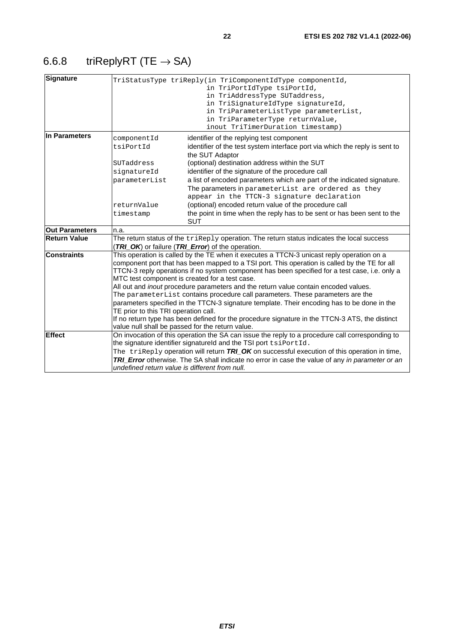## <span id="page-21-0"></span>6.6.8 triReplyRT (TE  $\rightarrow$  SA)

| <b>Signature</b>      |                                                                                                                                                                                                                                                                                                                                                                                                                                                                                                                                                                                                                                                                       | TriStatusType triReply(in TriComponentIdType componentId,<br>in TriPortIdType tsiPortId,<br>in TriAddressType SUTaddress,<br>in TriSignatureIdType signatureId,<br>in TriParameterListType parameterList,<br>in TriParameterType returnValue,<br>inout TriTimerDuration timestamp) |
|-----------------------|-----------------------------------------------------------------------------------------------------------------------------------------------------------------------------------------------------------------------------------------------------------------------------------------------------------------------------------------------------------------------------------------------------------------------------------------------------------------------------------------------------------------------------------------------------------------------------------------------------------------------------------------------------------------------|------------------------------------------------------------------------------------------------------------------------------------------------------------------------------------------------------------------------------------------------------------------------------------|
| In Parameters         | componentId                                                                                                                                                                                                                                                                                                                                                                                                                                                                                                                                                                                                                                                           | identifier of the replying test component                                                                                                                                                                                                                                          |
|                       | tsiPortId                                                                                                                                                                                                                                                                                                                                                                                                                                                                                                                                                                                                                                                             | identifier of the test system interface port via which the reply is sent to<br>the SUT Adaptor                                                                                                                                                                                     |
|                       | SUTaddress                                                                                                                                                                                                                                                                                                                                                                                                                                                                                                                                                                                                                                                            | (optional) destination address within the SUT                                                                                                                                                                                                                                      |
|                       | signatureId                                                                                                                                                                                                                                                                                                                                                                                                                                                                                                                                                                                                                                                           | identifier of the signature of the procedure call                                                                                                                                                                                                                                  |
|                       | parameterList                                                                                                                                                                                                                                                                                                                                                                                                                                                                                                                                                                                                                                                         | a list of encoded parameters which are part of the indicated signature.                                                                                                                                                                                                            |
|                       |                                                                                                                                                                                                                                                                                                                                                                                                                                                                                                                                                                                                                                                                       | The parameters in parameterList are ordered as they                                                                                                                                                                                                                                |
|                       |                                                                                                                                                                                                                                                                                                                                                                                                                                                                                                                                                                                                                                                                       | appear in the TTCN-3 signature declaration                                                                                                                                                                                                                                         |
|                       | returnValue                                                                                                                                                                                                                                                                                                                                                                                                                                                                                                                                                                                                                                                           | (optional) encoded return value of the procedure call                                                                                                                                                                                                                              |
|                       | timestamp                                                                                                                                                                                                                                                                                                                                                                                                                                                                                                                                                                                                                                                             | the point in time when the reply has to be sent or has been sent to the<br><b>SUT</b>                                                                                                                                                                                              |
| <b>Out Parameters</b> | n.a.                                                                                                                                                                                                                                                                                                                                                                                                                                                                                                                                                                                                                                                                  |                                                                                                                                                                                                                                                                                    |
| <b>Return Value</b>   |                                                                                                                                                                                                                                                                                                                                                                                                                                                                                                                                                                                                                                                                       | The return status of the $\text{trikeply}$ operation. The return status indicates the local success<br>(TRI_OK) or failure (TRI_Error) of the operation.                                                                                                                           |
| <b>Constraints</b>    | This operation is called by the TE when it executes a TTCN-3 unicast reply operation on a<br>component port that has been mapped to a TSI port. This operation is called by the TE for all<br>TTCN-3 reply operations if no system component has been specified for a test case, i.e. only a<br>MTC test component is created for a test case.<br>All out and <i>inout</i> procedure parameters and the return value contain encoded values.<br>The parameterList contains procedure call parameters. These parameters are the<br>parameters specified in the TTCN-3 signature template. Their encoding has to be done in the<br>TE prior to this TRI operation call. |                                                                                                                                                                                                                                                                                    |
|                       |                                                                                                                                                                                                                                                                                                                                                                                                                                                                                                                                                                                                                                                                       | If no return type has been defined for the procedure signature in the TTCN-3 ATS, the distinct<br>value null shall be passed for the return value.                                                                                                                                 |
| <b>Effect</b>         |                                                                                                                                                                                                                                                                                                                                                                                                                                                                                                                                                                                                                                                                       | On invocation of this operation the SA can issue the reply to a procedure call corresponding to                                                                                                                                                                                    |
|                       |                                                                                                                                                                                                                                                                                                                                                                                                                                                                                                                                                                                                                                                                       | the signature identifier signatureld and the TSI port tsiPortId.                                                                                                                                                                                                                   |
|                       |                                                                                                                                                                                                                                                                                                                                                                                                                                                                                                                                                                                                                                                                       | The triReply operation will return $TRLOK$ on successful execution of this operation in time,                                                                                                                                                                                      |
|                       |                                                                                                                                                                                                                                                                                                                                                                                                                                                                                                                                                                                                                                                                       | TRI_Error otherwise. The SA shall indicate no error in case the value of any in parameter or an<br>undefined return value is different from null.                                                                                                                                  |
|                       |                                                                                                                                                                                                                                                                                                                                                                                                                                                                                                                                                                                                                                                                       |                                                                                                                                                                                                                                                                                    |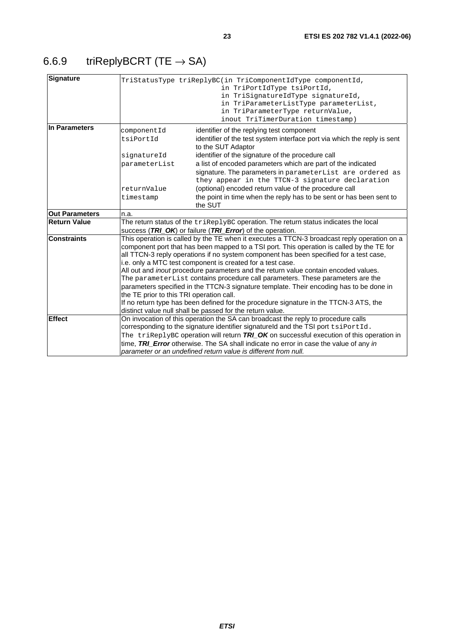<span id="page-22-0"></span>

| <b>Signature</b>      |                                                                                                                                                                                                                                                                                                                                                                                                                                                                                                                                                                                                                                                                                                                                                                                                                               | TriStatusType triReplyBC(in TriComponentIdType componentId,<br>in TriPortIdType tsiPortId,<br>in TriSignatureIdType signatureId,<br>in TriParameterListType parameterList,<br>in TriParameterType returnValue,<br>inout TriTimerDuration timestamp)                                                                                                                                                                             |
|-----------------------|-------------------------------------------------------------------------------------------------------------------------------------------------------------------------------------------------------------------------------------------------------------------------------------------------------------------------------------------------------------------------------------------------------------------------------------------------------------------------------------------------------------------------------------------------------------------------------------------------------------------------------------------------------------------------------------------------------------------------------------------------------------------------------------------------------------------------------|---------------------------------------------------------------------------------------------------------------------------------------------------------------------------------------------------------------------------------------------------------------------------------------------------------------------------------------------------------------------------------------------------------------------------------|
| In Parameters         | componentId                                                                                                                                                                                                                                                                                                                                                                                                                                                                                                                                                                                                                                                                                                                                                                                                                   | identifier of the replying test component                                                                                                                                                                                                                                                                                                                                                                                       |
|                       | tsiPortId                                                                                                                                                                                                                                                                                                                                                                                                                                                                                                                                                                                                                                                                                                                                                                                                                     | identifier of the test system interface port via which the reply is sent<br>to the SUT Adaptor                                                                                                                                                                                                                                                                                                                                  |
|                       | signatureId                                                                                                                                                                                                                                                                                                                                                                                                                                                                                                                                                                                                                                                                                                                                                                                                                   | identifier of the signature of the procedure call                                                                                                                                                                                                                                                                                                                                                                               |
|                       | parameterList                                                                                                                                                                                                                                                                                                                                                                                                                                                                                                                                                                                                                                                                                                                                                                                                                 | a list of encoded parameters which are part of the indicated                                                                                                                                                                                                                                                                                                                                                                    |
|                       |                                                                                                                                                                                                                                                                                                                                                                                                                                                                                                                                                                                                                                                                                                                                                                                                                               | signature. The parameters in parameterList are ordered as<br>they appear in the TTCN-3 signature declaration                                                                                                                                                                                                                                                                                                                    |
|                       | returnValue                                                                                                                                                                                                                                                                                                                                                                                                                                                                                                                                                                                                                                                                                                                                                                                                                   | (optional) encoded return value of the procedure call                                                                                                                                                                                                                                                                                                                                                                           |
|                       | timestamp                                                                                                                                                                                                                                                                                                                                                                                                                                                                                                                                                                                                                                                                                                                                                                                                                     | the point in time when the reply has to be sent or has been sent to                                                                                                                                                                                                                                                                                                                                                             |
|                       |                                                                                                                                                                                                                                                                                                                                                                                                                                                                                                                                                                                                                                                                                                                                                                                                                               | the SUT                                                                                                                                                                                                                                                                                                                                                                                                                         |
| <b>Out Parameters</b> | n.a.                                                                                                                                                                                                                                                                                                                                                                                                                                                                                                                                                                                                                                                                                                                                                                                                                          |                                                                                                                                                                                                                                                                                                                                                                                                                                 |
| <b>Return Value</b>   |                                                                                                                                                                                                                                                                                                                                                                                                                                                                                                                                                                                                                                                                                                                                                                                                                               | The return status of the triReplyBC operation. The return status indicates the local                                                                                                                                                                                                                                                                                                                                            |
|                       |                                                                                                                                                                                                                                                                                                                                                                                                                                                                                                                                                                                                                                                                                                                                                                                                                               | success (TRI_OK) or failure (TRI_Error) of the operation.                                                                                                                                                                                                                                                                                                                                                                       |
| <b>Constraints</b>    | This operation is called by the TE when it executes a TTCN-3 broadcast reply operation on a<br>component port that has been mapped to a TSI port. This operation is called by the TE for<br>all TTCN-3 reply operations if no system component has been specified for a test case,<br>i.e. only a MTC test component is created for a test case.<br>All out and <i>inout</i> procedure parameters and the return value contain encoded values.<br>The parameterList contains procedure call parameters. These parameters are the<br>parameters specified in the TTCN-3 signature template. Their encoding has to be done in<br>the TE prior to this TRI operation call.<br>If no return type has been defined for the procedure signature in the TTCN-3 ATS, the<br>distinct value null shall be passed for the return value. |                                                                                                                                                                                                                                                                                                                                                                                                                                 |
| <b>Effect</b>         |                                                                                                                                                                                                                                                                                                                                                                                                                                                                                                                                                                                                                                                                                                                                                                                                                               | On invocation of this operation the SA can broadcast the reply to procedure calls<br>corresponding to the signature identifier signatureld and the TSI port tsiPortId.<br>The triReplyBC operation will return $TRL$ OK on successful execution of this operation in<br>time, TRI Error otherwise. The SA shall indicate no error in case the value of any in<br>parameter or an undefined return value is different from null. |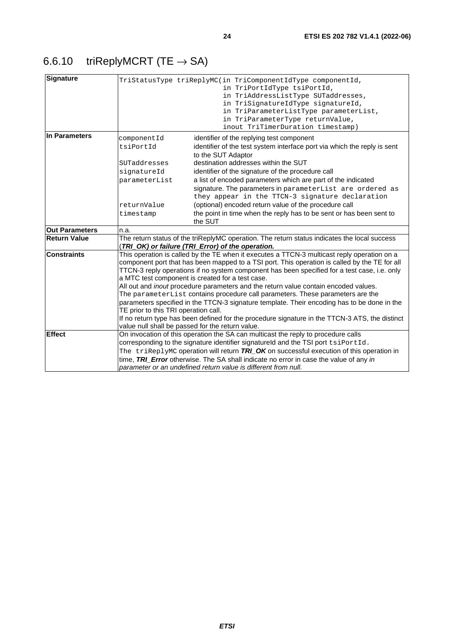## <span id="page-23-0"></span>6.6.10 triReplyMCRT (TE  $\rightarrow$  SA)

| <b>Signature</b>      |                                              | TriStatusType triReplyMC(in TriComponentIdType componentId,<br>in TriPortIdType tsiPortId,<br>in TriAddressListType SUTaddresses,<br>in TriSignatureIdType signatureId,<br>in TriParameterListType parameterList,<br>in TriParameterType returnValue,<br>inout TriTimerDuration timestamp)                                                                                                                                                                                                                                                                                                                                                                                                                                                                                                                             |  |
|-----------------------|----------------------------------------------|------------------------------------------------------------------------------------------------------------------------------------------------------------------------------------------------------------------------------------------------------------------------------------------------------------------------------------------------------------------------------------------------------------------------------------------------------------------------------------------------------------------------------------------------------------------------------------------------------------------------------------------------------------------------------------------------------------------------------------------------------------------------------------------------------------------------|--|
| In Parameters         | componentId<br>tsiPortId                     | identifier of the replying test component<br>identifier of the test system interface port via which the reply is sent                                                                                                                                                                                                                                                                                                                                                                                                                                                                                                                                                                                                                                                                                                  |  |
|                       | SUTaddresses<br>signatureId<br>parameterList | to the SUT Adaptor<br>destination addresses within the SUT<br>identifier of the signature of the procedure call<br>a list of encoded parameters which are part of the indicated<br>signature. The parameters in parameterList are ordered as                                                                                                                                                                                                                                                                                                                                                                                                                                                                                                                                                                           |  |
|                       | returnValue<br>timestamp                     | they appear in the TTCN-3 signature declaration<br>(optional) encoded return value of the procedure call<br>the point in time when the reply has to be sent or has been sent to<br>the SUT                                                                                                                                                                                                                                                                                                                                                                                                                                                                                                                                                                                                                             |  |
| <b>Out Parameters</b> | n.a.                                         |                                                                                                                                                                                                                                                                                                                                                                                                                                                                                                                                                                                                                                                                                                                                                                                                                        |  |
| <b>Return Value</b>   |                                              | The return status of the triReplyMC operation. The return status indicates the local success<br>(TRI_OK) or failure (TRI_Error) of the operation.                                                                                                                                                                                                                                                                                                                                                                                                                                                                                                                                                                                                                                                                      |  |
| <b>Constraints</b>    |                                              | This operation is called by the TE when it executes a TTCN-3 multicast reply operation on a<br>component port that has been mapped to a TSI port. This operation is called by the TE for all<br>TTCN-3 reply operations if no system component has been specified for a test case, i.e. only<br>a MTC test component is created for a test case.<br>All out and inout procedure parameters and the return value contain encoded values.<br>The parameterList contains procedure call parameters. These parameters are the<br>parameters specified in the TTCN-3 signature template. Their encoding has to be done in the<br>TE prior to this TRI operation call.<br>If no return type has been defined for the procedure signature in the TTCN-3 ATS, the distinct<br>value null shall be passed for the return value. |  |
| <b>Effect</b>         |                                              | On invocation of this operation the SA can multicast the reply to procedure calls<br>corresponding to the signature identifier signatureld and the TSI port tsiPortId.<br>The triReplyMC operation will return TRI_OK on successful execution of this operation in<br>time, TRI_Error otherwise. The SA shall indicate no error in case the value of any in<br>parameter or an undefined return value is different from null.                                                                                                                                                                                                                                                                                                                                                                                          |  |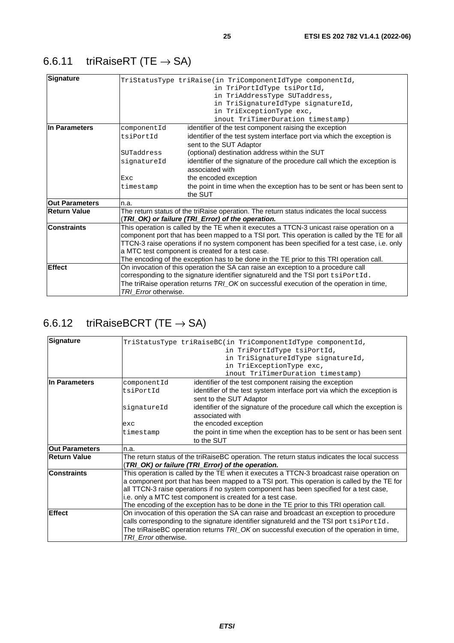## <span id="page-24-0"></span>6.6.11 triRaiseRT (TE  $\rightarrow$  SA)

| <b>Signature</b>      |                      | TriStatusType triRaise(in TriComponentIdType componentId,                                     |
|-----------------------|----------------------|-----------------------------------------------------------------------------------------------|
|                       |                      | in TriPortIdType tsiPortId,                                                                   |
|                       |                      | in TriAddressType SUTaddress,                                                                 |
|                       |                      | in TriSignatureIdType signatureId,                                                            |
|                       |                      | in TriExceptionType exc,                                                                      |
|                       |                      | inout TriTimerDuration timestamp)                                                             |
| In Parameters         | componentId          | identifier of the test component raising the exception                                        |
|                       | tsiPortId            | identifier of the test system interface port via which the exception is                       |
|                       |                      | sent to the SUT Adaptor                                                                       |
|                       | SUTaddress           | (optional) destination address within the SUT                                                 |
|                       | signatureId          | identifier of the signature of the procedure call which the exception is                      |
|                       |                      | associated with                                                                               |
|                       | <b>Exc</b>           | the encoded exception                                                                         |
|                       | timestamp            | the point in time when the exception has to be sent or has been sent to                       |
|                       |                      | the SUT                                                                                       |
| <b>Out Parameters</b> | n.a.                 |                                                                                               |
| <b>Return Value</b>   |                      | The return status of the triRaise operation. The return status indicates the local success    |
|                       |                      | (TRI_OK) or failure (TRI_Error) of the operation.                                             |
| <b>Constraints</b>    |                      | This operation is called by the TE when it executes a TTCN-3 unicast raise operation on a     |
|                       |                      | component port that has been mapped to a TSI port. This operation is called by the TE for all |
|                       |                      | TTCN-3 raise operations if no system component has been specified for a test case, i.e. only  |
|                       |                      | a MTC test component is created for a test case.                                              |
|                       |                      | The encoding of the exception has to be done in the TE prior to this TRI operation call.      |
| <b>Effect</b>         |                      | On invocation of this operation the SA can raise an exception to a procedure call             |
|                       |                      | corresponding to the signature identifier signatureld and the TSI port tsiPortId.             |
|                       |                      | The triRaise operation returns TRI_OK on successful execution of the operation in time,       |
|                       | TRI_Error otherwise. |                                                                                               |

## 6.6.12 triRaiseBCRT (TE  $\rightarrow$  SA)

| Signature             |                      | TriStatusType triRaiseBC(in TriComponentIdType componentId,                                  |
|-----------------------|----------------------|----------------------------------------------------------------------------------------------|
|                       |                      | in TriPortIdType tsiPortId,                                                                  |
|                       |                      | in TriSignatureIdType signatureId,                                                           |
|                       |                      | in TriExceptionType exc,                                                                     |
|                       |                      | inout TriTimerDuration timestamp)                                                            |
| In Parameters         | componentId          | identifier of the test component raising the exception                                       |
|                       | tsiPortId            | identifier of the test system interface port via which the exception is                      |
|                       |                      | sent to the SUT Adaptor                                                                      |
|                       | signatureId          | identifier of the signature of the procedure call which the exception is                     |
|                       |                      | associated with                                                                              |
|                       | exc                  | the encoded exception                                                                        |
|                       | timestamp            | the point in time when the exception has to be sent or has been sent                         |
|                       |                      | to the SUT                                                                                   |
| <b>Out Parameters</b> | n.a.                 |                                                                                              |
| <b>Return Value</b>   |                      | The return status of the triRaiseBC operation. The return status indicates the local success |
|                       |                      | (TRI_OK) or failure (TRI_Error) of the operation.                                            |
| <b>Constraints</b>    |                      | This operation is called by the TE when it executes a TTCN-3 broadcast raise operation on    |
|                       |                      | a component port that has been mapped to a TSI port. This operation is called by the TE for  |
|                       |                      | all TTCN-3 raise operations if no system component has been specified for a test case,       |
|                       |                      | i.e. only a MTC test component is created for a test case.                                   |
|                       |                      | The encoding of the exception has to be done in the TE prior to this TRI operation call.     |
| <b>Effect</b>         |                      | On invocation of this operation the SA can raise and broadcast an exception to procedure     |
|                       |                      | calls corresponding to the signature identifier signatureld and the TSI port tsiPortId.      |
|                       |                      | The triRaiseBC operation returns TRI_OK on successful execution of the operation in time,    |
|                       | TRI Error otherwise. |                                                                                              |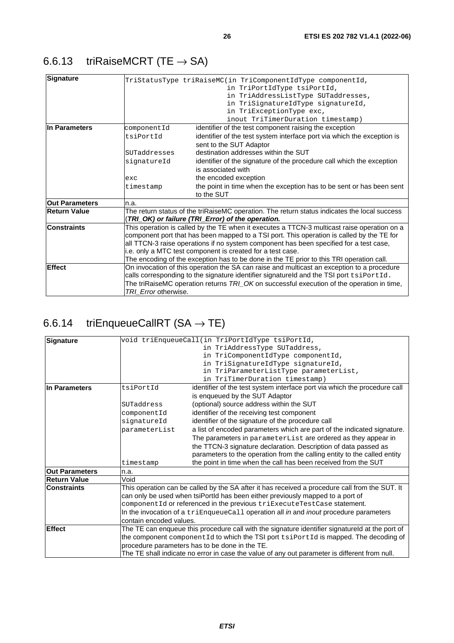<span id="page-25-0"></span>

| <b>Signature</b>      |                      | TriStatusType triRaiseMC(in TriComponentIdType componentId,<br>in TriPortIdType tsiPortId,<br>in TriAddressListType SUTaddresses,<br>in TriSignatureIdType signatureId,<br>in TriExceptionType exc,<br>inout TriTimerDuration timestamp) |
|-----------------------|----------------------|------------------------------------------------------------------------------------------------------------------------------------------------------------------------------------------------------------------------------------------|
| In Parameters         | componentId          | identifier of the test component raising the exception                                                                                                                                                                                   |
|                       | tsiPortId            | identifier of the test system interface port via which the exception is                                                                                                                                                                  |
|                       |                      | sent to the SUT Adaptor                                                                                                                                                                                                                  |
|                       | SUTaddresses         | destination addresses within the SUT                                                                                                                                                                                                     |
|                       | signatureId          | identifier of the signature of the procedure call which the exception                                                                                                                                                                    |
|                       |                      | is associated with                                                                                                                                                                                                                       |
|                       | exc                  | the encoded exception                                                                                                                                                                                                                    |
|                       | timestamp            | the point in time when the exception has to be sent or has been sent<br>to the SUT                                                                                                                                                       |
| <b>Out Parameters</b> | n.a.                 |                                                                                                                                                                                                                                          |
| <b>Return Value</b>   |                      | The return status of the triRaiseMC operation. The return status indicates the local success<br>(TRI_OK) or failure (TRI_Error) of the operation.                                                                                        |
| <b>Constraints</b>    |                      | This operation is called by the TE when it executes a TTCN-3 multicast raise operation on a                                                                                                                                              |
|                       |                      | component port that has been mapped to a TSI port. This operation is called by the TE for                                                                                                                                                |
|                       |                      | all TTCN-3 raise operations if no system component has been specified for a test case,                                                                                                                                                   |
|                       |                      | i.e. only a MTC test component is created for a test case.                                                                                                                                                                               |
|                       |                      | The encoding of the exception has to be done in the TE prior to this TRI operation call.                                                                                                                                                 |
| <b>Effect</b>         |                      | On invocation of this operation the SA can raise and multicast an exception to a procedure                                                                                                                                               |
|                       |                      | calls corresponding to the signature identifier signatureld and the TSI port tsiPortId.                                                                                                                                                  |
|                       | TRI Error otherwise. | The triRaiseMC operation returns TRI OK on successful execution of the operation in time,                                                                                                                                                |

## 6.6.14  $triEnqueueCallRT (SA \rightarrow TE)$

| <b>Signature</b>      |                         | void triEnqueueCall(in TriPortIdType tsiPortId,                                                 |
|-----------------------|-------------------------|-------------------------------------------------------------------------------------------------|
|                       |                         | in TriAddressType SUTaddress,                                                                   |
|                       |                         | in TriComponentIdType componentId,                                                              |
|                       |                         | in TriSignatureIdType signatureId,                                                              |
|                       |                         | in TriParameterListType parameterList,                                                          |
|                       |                         | in TriTimerDuration timestamp)                                                                  |
| lIn Parameters        | tsiPortId               | identifier of the test system interface port via which the procedure call                       |
|                       |                         | is enqueued by the SUT Adaptor                                                                  |
|                       | SUTaddress              | (optional) source address within the SUT                                                        |
|                       | componentId             | identifier of the receiving test component                                                      |
|                       | signatureId             | identifier of the signature of the procedure call                                               |
|                       | parameterList           | a list of encoded parameters which are part of the indicated signature.                         |
|                       |                         | The parameters in parameterList are ordered as they appear in                                   |
|                       |                         | the TTCN-3 signature declaration. Description of data passed as                                 |
|                       |                         | parameters to the operation from the calling entity to the called entity                        |
|                       | timestamp               | the point in time when the call has been received from the SUT                                  |
| <b>Out Parameters</b> | n.a.                    |                                                                                                 |
| <b>Return Value</b>   | Void                    |                                                                                                 |
| <b>Constraints</b>    |                         | This operation can be called by the SA after it has received a procedure call from the SUT. It  |
|                       |                         | can only be used when tsiPortId has been either previously mapped to a port of                  |
|                       |                         | componentId or referenced in the previous triExecuteTestCase statement.                         |
|                       |                         | In the invocation of a triEnqueueCall operation all in and inout procedure parameters           |
|                       | contain encoded values. |                                                                                                 |
| <b>Effect</b>         |                         | The TE can enqueue this procedure call with the signature identifier signatureld at the port of |
|                       |                         | the component component Id to which the TSI port tsiPortId is mapped. The decoding of           |
|                       |                         | procedure parameters has to be done in the TE.                                                  |
|                       |                         | The TE shall indicate no error in case the value of any out parameter is different from null.   |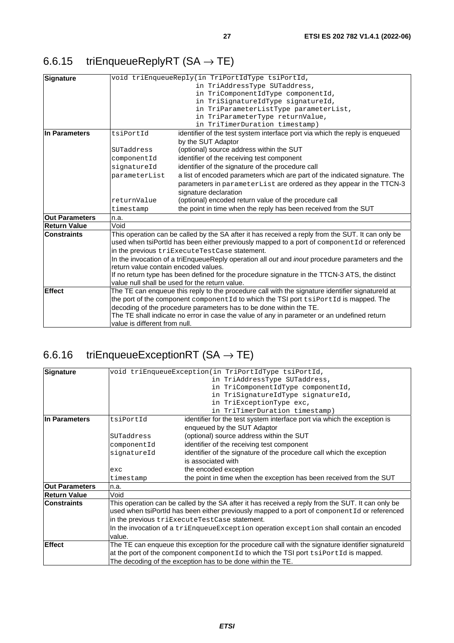## <span id="page-26-0"></span>6.6.15 triEnqueueReplyRT  $(SA \rightarrow TE)$

| <b>Signature</b>      |                                      | void triEnqueueReply(in TriPortIdType tsiPortId,                                                                                                                                                   |
|-----------------------|--------------------------------------|----------------------------------------------------------------------------------------------------------------------------------------------------------------------------------------------------|
|                       |                                      | in TriAddressType SUTaddress,                                                                                                                                                                      |
|                       |                                      | in TriComponentIdType componentId,                                                                                                                                                                 |
|                       |                                      | in TriSignatureIdType signatureId,                                                                                                                                                                 |
|                       |                                      | in TriParameterListType parameterList,                                                                                                                                                             |
|                       |                                      | in TriParameterType returnValue,                                                                                                                                                                   |
|                       |                                      | in TriTimerDuration timestamp)                                                                                                                                                                     |
| In Parameters         | tsiPortId                            | identifier of the test system interface port via which the reply is enqueued                                                                                                                       |
|                       |                                      | by the SUT Adaptor                                                                                                                                                                                 |
|                       | SUTaddress                           | (optional) source address within the SUT                                                                                                                                                           |
|                       | componentId                          | identifier of the receiving test component                                                                                                                                                         |
|                       | signatureId                          | identifier of the signature of the procedure call                                                                                                                                                  |
|                       | parameterList                        | a list of encoded parameters which are part of the indicated signature. The                                                                                                                        |
|                       |                                      | parameters in parameterList are ordered as they appear in the TTCN-3                                                                                                                               |
|                       |                                      | signature declaration                                                                                                                                                                              |
|                       | returnValue                          | (optional) encoded return value of the procedure call                                                                                                                                              |
|                       | timestamp                            | the point in time when the reply has been received from the SUT                                                                                                                                    |
| <b>Out Parameters</b> | n.a.                                 |                                                                                                                                                                                                    |
| <b>Return Value</b>   | Void                                 |                                                                                                                                                                                                    |
| <b>Constraints</b>    |                                      | This operation can be called by the SA after it has received a reply from the SUT. It can only be<br>used when tsiPortId has been either previously mapped to a port of component Id or referenced |
|                       |                                      |                                                                                                                                                                                                    |
|                       |                                      | in the previous triExecuteTestCase statement.                                                                                                                                                      |
|                       | return value contain encoded values. | In the invocation of a triEnqueueReply operation all out and inout procedure parameters and the                                                                                                    |
|                       |                                      |                                                                                                                                                                                                    |
|                       |                                      | If no return type has been defined for the procedure signature in the TTCN-3 ATS, the distinct<br>value null shall be used for the return value.                                                   |
| <b>Effect</b>         |                                      | The TE can enqueue this reply to the procedure call with the signature identifier signatureld at                                                                                                   |
|                       |                                      | the port of the component component Id to which the TSI port tsiPortId is mapped. The                                                                                                              |
|                       |                                      | decoding of the procedure parameters has to be done within the TE.                                                                                                                                 |
|                       |                                      | The TE shall indicate no error in case the value of any in parameter or an undefined return                                                                                                        |
|                       | value is different from null.        |                                                                                                                                                                                                    |
|                       |                                      |                                                                                                                                                                                                    |

## 6.6.16 triEnqueueExceptionRT ( $SA \rightarrow TE$ )

| Signature             |             | void triEnqueueException(in TriPortIdType tsiPortId,                                               |
|-----------------------|-------------|----------------------------------------------------------------------------------------------------|
|                       |             | in TriAddressType SUTaddress,                                                                      |
|                       |             | in TriComponentIdType componentId,                                                                 |
|                       |             | in TriSignatureIdType signatureId,                                                                 |
|                       |             | in TriExceptionType exc,                                                                           |
|                       |             | in TriTimerDuration timestamp)                                                                     |
| In Parameters         | tsiPortId   | identifier for the test system interface port via which the exception is                           |
|                       |             | enqueued by the SUT Adaptor                                                                        |
|                       | SUTaddress  | (optional) source address within the SUT                                                           |
|                       | componentId | identifier of the receiving test component                                                         |
|                       | signatureId | identifier of the signature of the procedure call which the exception                              |
|                       |             | is associated with                                                                                 |
|                       | exc         | the encoded exception                                                                              |
|                       | timestamp   | the point in time when the exception has been received from the SUT                                |
| <b>Out Parameters</b> | n.a.        |                                                                                                    |
| <b>Return Value</b>   | Void        |                                                                                                    |
| <b>Constraints</b>    |             | This operation can be called by the SA after it has received a reply from the SUT. It can only be  |
|                       |             | used when tsiPortId has been either previously mapped to a port of component Id or referenced      |
|                       |             | in the previous triExecuteTestCase statement.                                                      |
|                       |             | In the invocation of a triEnqueueException operation exception shall contain an encoded            |
|                       | value.      |                                                                                                    |
| <b>Effect</b>         |             | The TE can enqueue this exception for the procedure call with the signature identifier signatureld |
|                       |             | at the port of the component component Id to which the TSI port tsiPortId is mapped.               |
|                       |             | The decoding of the exception has to be done within the TE.                                        |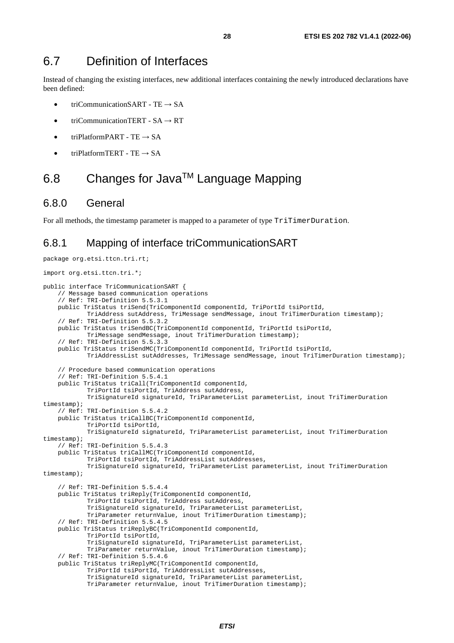### <span id="page-27-0"></span>6.7 Definition of Interfaces

Instead of changing the existing interfaces, new additional interfaces containing the newly introduced declarations have been defined:

- triCommunicationSART TE  $\rightarrow$  SA
- triCommunicationTERT  $SA \rightarrow RT$
- triPlatformPART TE  $\rightarrow$  SA
- triPlatformTERT TE  $\rightarrow$  SA

### 6.8 Changes for JavaTM Language Mapping

#### 6.8.0 General

package org.etsi.ttcn.tri.rt;

For all methods, the timestamp parameter is mapped to a parameter of type TriTimerDuration.

### 6.8.1 Mapping of interface triCommunicationSART

```
import org.etsi.ttcn.tri.*; 
public interface TriCommunicationSART { 
     // Message based communication operations 
     // Ref: TRI-Definition 5.5.3.1 
    public TriStatus triSend(TriComponentId componentId, TriPortId tsiPortId, 
             TriAddress sutAddress, TriMessage sendMessage, inout TriTimerDuration timestamp); 
     // Ref: TRI-Definition 5.5.3.2 
    public TriStatus triSendBC(TriComponentId componentId, TriPortId tsiPortId, 
             TriMessage sendMessage, inout TriTimerDuration timestamp); 
     // Ref: TRI-Definition 5.5.3.3 
    public TriStatus triSendMC(TriComponentId componentId, TriPortId tsiPortId, 
             TriAddressList sutAddresses, TriMessage sendMessage, inout TriTimerDuration timestamp); 
     // Procedure based communication operations 
     // Ref: TRI-Definition 5.5.4.1 
    public TriStatus triCall(TriComponentId componentId, 
             TriPortId tsiPortId, TriAddress sutAddress, 
             TriSignatureId signatureId, TriParameterList parameterList, inout TriTimerDuration 
timestamp); 
     // Ref: TRI-Definition 5.5.4.2 
     public TriStatus triCallBC(TriComponentId componentId, 
             TriPortId tsiPortId, 
             TriSignatureId signatureId, TriParameterList parameterList, inout TriTimerDuration 
timestamp); 
     // Ref: TRI-Definition 5.5.4.3 
     public TriStatus triCallMC(TriComponentId componentId, 
             TriPortId tsiPortId, TriAddressList sutAddresses, 
             TriSignatureId signatureId, TriParameterList parameterList, inout TriTimerDuration 
timestamp); 
     // Ref: TRI-Definition 5.5.4.4 
     public TriStatus triReply(TriComponentId componentId, 
             TriPortId tsiPortId, TriAddress sutAddress, 
             TriSignatureId signatureId, TriParameterList parameterList, 
             TriParameter returnValue, inout TriTimerDuration timestamp); 
     // Ref: TRI-Definition 5.5.4.5 
     public TriStatus triReplyBC(TriComponentId componentId, 
             TriPortId tsiPortId, 
             TriSignatureId signatureId, TriParameterList parameterList, 
             TriParameter returnValue, inout TriTimerDuration timestamp); 
     // Ref: TRI-Definition 5.5.4.6 
     public TriStatus triReplyMC(TriComponentId componentId, 
             TriPortId tsiPortId, TriAddressList sutAddresses, 
             TriSignatureId signatureId, TriParameterList parameterList, 
             TriParameter returnValue, inout TriTimerDuration timestamp);
```
*ETSI*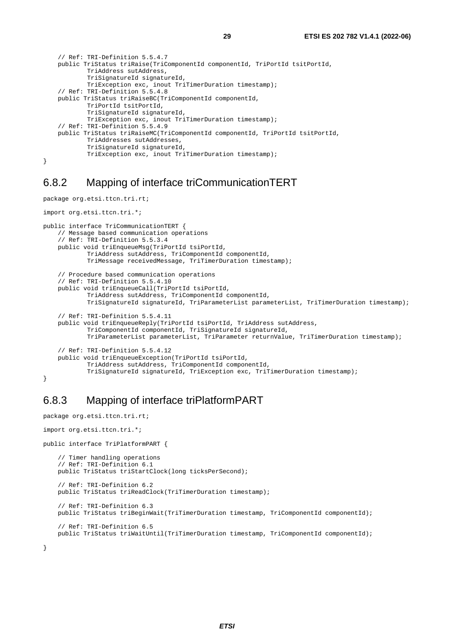```
 // Ref: TRI-Definition 5.5.4.7 
 public TriStatus triRaise(TriComponentId componentId, TriPortId tsitPortId, 
         TriAddress sutAddress, 
         TriSignatureId signatureId, 
         TriException exc, inout TriTimerDuration timestamp); 
 // Ref: TRI-Definition 5.5.4.8 
 public TriStatus triRaiseBC(TriComponentId componentId, 
         TriPortId tsitPortId, 
         TriSignatureId signatureId, 
         TriException exc, inout TriTimerDuration timestamp); 
 // Ref: TRI-Definition 5.5.4.9 
 public TriStatus triRaiseMC(TriComponentId componentId, TriPortId tsitPortId,
```
}

### 6.8.2 Mapping of interface triCommunicationTERT

TriException exc, inout TriTimerDuration timestamp);

 TriAddresses sutAddresses, TriSignatureId signatureId,

```
package org.etsi.ttcn.tri.rt; 
import org.etsi.ttcn.tri.*; 
public interface TriCommunicationTERT { 
     // Message based communication operations 
     // Ref: TRI-Definition 5.5.3.4 
    public void triEnqueueMsg(TriPortId tsiPortId, 
             TriAddress sutAddress, TriComponentId componentId, 
             TriMessage receivedMessage, TriTimerDuration timestamp); 
     // Procedure based communication operations 
     // Ref: TRI-Definition 5.5.4.10 
     public void triEnqueueCall(TriPortId tsiPortId, 
             TriAddress sutAddress, TriComponentId componentId, 
             TriSignatureId signatureId, TriParameterList parameterList, TriTimerDuration timestamp); 
     // Ref: TRI-Definition 5.5.4.11 
     public void triEnqueueReply(TriPortId tsiPortId, TriAddress sutAddress, 
             TriComponentId componentId, TriSignatureId signatureId, 
             TriParameterList parameterList, TriParameter returnValue, TriTimerDuration timestamp); 
     // Ref: TRI-Definition 5.5.4.12 
     public void triEnqueueException(TriPortId tsiPortId, 
             TriAddress sutAddress, TriComponentId componentId, 
             TriSignatureId signatureId, TriException exc, TriTimerDuration timestamp); 
}
```
### 6.8.3 Mapping of interface triPlatformPART

```
package org.etsi.ttcn.tri.rt; 
import org.etsi.ttcn.tri.*; 
public interface TriPlatformPART { 
     // Timer handling operations 
     // Ref: TRI-Definition 6.1 
     public TriStatus triStartClock(long ticksPerSecond); 
     // Ref: TRI-Definition 6.2 
     public TriStatus triReadClock(TriTimerDuration timestamp); 
     // Ref: TRI-Definition 6.3 
    public TriStatus triBeginWait(TriTimerDuration timestamp, TriComponentId componentId); 
     // Ref: TRI-Definition 6.5 
    public TriStatus triWaitUntil(TriTimerDuration timestamp, TriComponentId componentId); 
}
```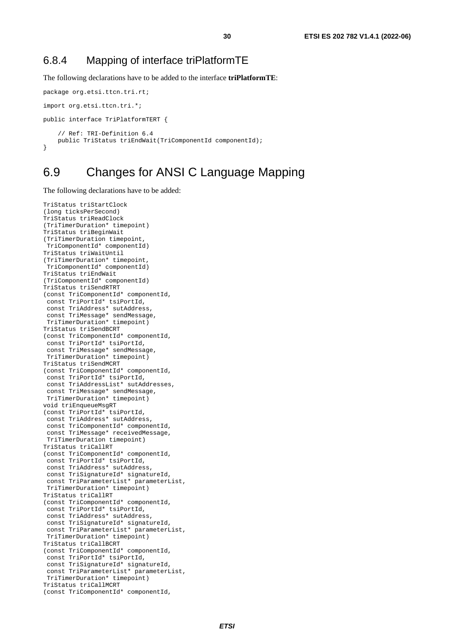### <span id="page-29-0"></span>6.8.4 Mapping of interface triPlatformTE

The following declarations have to be added to the interface **triPlatformTE**:

```
package org.etsi.ttcn.tri.rt; 
import org.etsi.ttcn.tri.*; 
public interface TriPlatformTERT { 
     // Ref: TRI-Definition 6.4 
     public TriStatus triEndWait(TriComponentId componentId); 
}
```
### 6.9 Changes for ANSI C Language Mapping

The following declarations have to be added:

```
TriStatus triStartClock 
(long ticksPerSecond) 
TriStatus triReadClock 
(TriTimerDuration* timepoint) 
TriStatus triBeginWait 
(TriTimerDuration timepoint, 
 TriComponentId* componentId) 
TriStatus triWaitUntil 
(TriTimerDuration* timepoint, 
  TriComponentId* componentId) 
TriStatus triEndWait 
(TriComponentId* componentId) 
TriStatus triSendRTRT 
(const TriComponentId* componentId, 
  const TriPortId* tsiPortId, 
  const TriAddress* sutAddress, 
  const TriMessage* sendMessage, 
 TriTimerDuration* timepoint) 
TriStatus triSendBCRT 
(const TriComponentId* componentId, 
  const TriPortId* tsiPortId, 
  const TriMessage* sendMessage, 
 TriTimerDuration* timepoint) 
TriStatus triSendMCRT 
(const TriComponentId* componentId, 
  const TriPortId* tsiPortId, 
 const TriAddressList* sutAddresses.
  const TriMessage* sendMessage, 
  TriTimerDuration* timepoint) 
void triEnqueueMsgRT 
(const TriPortId* tsiPortId, 
  const TriAddress* sutAddress, 
  const TriComponentId* componentId, 
  const TriMessage* receivedMessage, 
 TriTimerDuration timepoint) 
TriStatus triCallRT 
(const TriComponentId* componentId, 
  const TriPortId* tsiPortId, 
  const TriAddress* sutAddress, 
  const TriSignatureId* signatureId, 
  const TriParameterList* parameterList, 
  TriTimerDuration* timepoint) 
TriStatus triCallRT 
(const TriComponentId* componentId, 
  const TriPortId* tsiPortId, 
  const TriAddress* sutAddress, 
  const TriSignatureId* signatureId, 
  const TriParameterList* parameterList, 
 TriTimerDuration* timepoint) 
TriStatus triCallBCRT 
(const TriComponentId* componentId, 
  const TriPortId* tsiPortId, 
  const TriSignatureId* signatureId, 
  const TriParameterList* parameterList, 
  TriTimerDuration* timepoint) 
TriStatus triCallMCRT 
(const TriComponentId* componentId,
```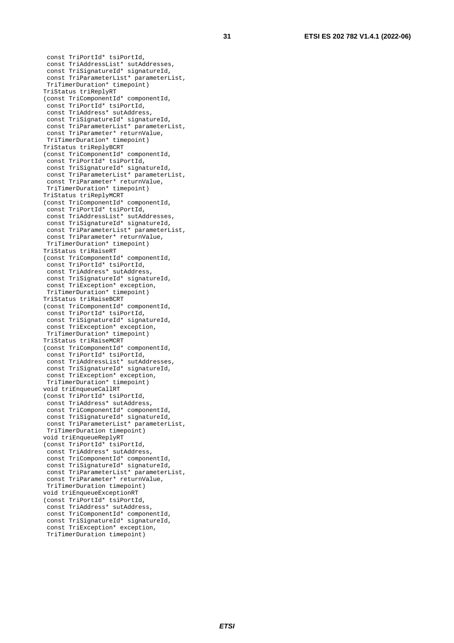```
 const TriPortId* tsiPortId, 
  const TriAddressList* sutAddresses, 
  const TriSignatureId* signatureId, 
  const TriParameterList* parameterList, 
  TriTimerDuration* timepoint) 
TriStatus triReplyRT 
(const TriComponentId* componentId, 
  const TriPortId* tsiPortId, 
  const TriAddress* sutAddress, 
  const TriSignatureId* signatureId, 
  const TriParameterList* parameterList, 
  const TriParameter* returnValue, 
 TriTimerDuration* timepoint) 
TriStatus triReplyBCRT 
(const TriComponentId* componentId, 
  const TriPortId* tsiPortId, 
  const TriSignatureId* signatureId, 
  const TriParameterList* parameterList, 
  const TriParameter* returnValue, 
  TriTimerDuration* timepoint) 
TriStatus triReplyMCRT 
(const TriComponentId* componentId, 
  const TriPortId* tsiPortId, 
  const TriAddressList* sutAddresses, 
  const TriSignatureId* signatureId, 
  const TriParameterList* parameterList, 
  const TriParameter* returnValue, 
  TriTimerDuration* timepoint) 
TriStatus triRaiseRT 
(const TriComponentId* componentId, 
  const TriPortId* tsiPortId, 
  const TriAddress* sutAddress, 
  const TriSignatureId* signatureId, 
  const TriException* exception, 
  TriTimerDuration* timepoint) 
TriStatus triRaiseBCRT 
(const TriComponentId* componentId, 
  const TriPortId* tsiPortId, 
  const TriSignatureId* signatureId, 
  const TriException* exception, 
  TriTimerDuration* timepoint) 
TriStatus triRaiseMCRT 
(const TriComponentId* componentId, 
  const TriPortId* tsiPortId, 
  const TriAddressList* sutAddresses, 
  const TriSignatureId* signatureId, 
  const TriException* exception, 
  TriTimerDuration* timepoint) 
void triEnqueueCallRT 
(const TriPortId* tsiPortId, 
  const TriAddress* sutAddress, 
  const TriComponentId* componentId, 
  const TriSignatureId* signatureId, 
  const TriParameterList* parameterList, 
 TriTimerDuration timepoint) 
void triEnqueueReplyRT 
(const TriPortId* tsiPortId, 
  const TriAddress* sutAddress, 
  const TriComponentId* componentId, 
 const TriSignatureId* signatureId,
 const TriParameterList* parameterList,
  const TriParameter* returnValue, 
  TriTimerDuration timepoint) 
void triEnqueueExceptionRT 
(const TriPortId* tsiPortId, 
  const TriAddress* sutAddress, 
  const TriComponentId* componentId, 
  const TriSignatureId* signatureId, 
  const TriException* exception, 
  TriTimerDuration timepoint)
```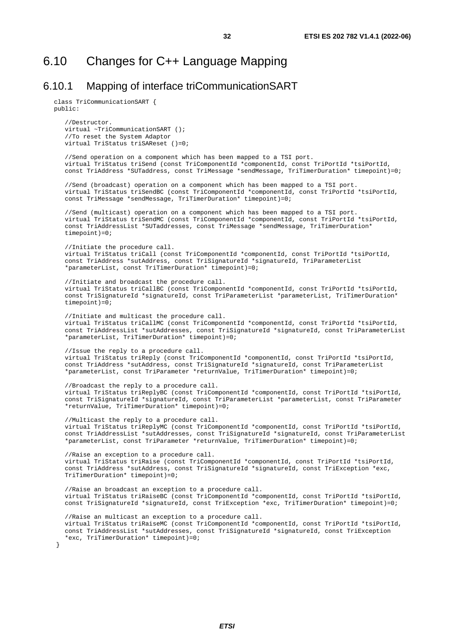### <span id="page-31-0"></span>6.10.1 Mapping of interface triCommunicationSART

class TriCommunicationSART { public:

}

//Destructor. virtual ~TriCommunicationSART (); //To reset the System Adaptor virtual TriStatus triSAReset ()=0;

//Send operation on a component which has been mapped to a TSI port. virtual TriStatus triSend (const TriComponentId \*componentId, const TriPortId \*tsiPortId, const TriAddress \*SUTaddress, const TriMessage \*sendMessage, TriTimerDuration\* timepoint)=0;

//Send (broadcast) operation on a component which has been mapped to a TSI port. virtual TriStatus triSendBC (const TriComponentId \*componentId, const TriPortId \*tsiPortId, const TriMessage \*sendMessage, TriTimerDuration\* timepoint)=0;

//Send (multicast) operation on a component which has been mapped to a TSI port. virtual TriStatus triSendMC (const TriComponentId \*componentId, const TriPortId \*tsiPortId, const TriAddressList \*SUTaddresses, const TriMessage \*sendMessage, TriTimerDuration\*  $timepoint)=0;$ 

//Initiate the procedure call. virtual TriStatus triCall (const TriComponentId \*componentId, const TriPortId \*tsiPortId, const TriAddress \*sutAddress, const TriSignatureId \*signatureId, TriParameterList \*parameterList, const TriTimerDuration\* timepoint)=0;

//Initiate and broadcast the procedure call. virtual TriStatus triCallBC (const TriComponentId \*componentId, const TriPortId \*tsiPortId, const TriSignatureId \*signatureId, const TriParameterList \*parameterList, TriTimerDuration\*  $timepoint)=0;$ 

//Initiate and multicast the procedure call. virtual TriStatus triCallMC (const TriComponentId \*componentId, const TriPortId \*tsiPortId, const TriAddressList \*sutAddresses, const TriSignatureId \*signatureId, const TriParameterList \*parameterList, TriTimerDuration\* timepoint)=0;

//Issue the reply to a procedure call. virtual TriStatus triReply (const TriComponentId \*componentId, const TriPortId \*tsiPortId, const TriAddress \*sutAddress, const TriSignatureId \*signatureId, const TriParameterList \*parameterList, const TriParameter \*returnValue, TriTimerDuration\* timepoint)=0;

//Broadcast the reply to a procedure call. virtual TriStatus triReplyBC (const TriComponentId \*componentId, const TriPortId \*tsiPortId, const TriSignatureId \*signatureId, const TriParameterList \*parameterList, const TriParameter \*returnValue, TriTimerDuration\* timepoint)=0;

//Multicast the reply to a procedure call. virtual TriStatus triReplyMC (const TriComponentId \*componentId, const TriPortId \*tsiPortId, const TriAddressList \*sutAddresses, const TriSignatureId \*signatureId, const TriParameterList \*parameterList, const TriParameter \*returnValue, TriTimerDuration\* timepoint)=0;

//Raise an exception to a procedure call. virtual TriStatus triRaise (const TriComponentId \*componentId, const TriPortId \*tsiPortId, const TriAddress \*sutAddress, const TriSignatureId \*signatureId, const TriException \*exc, TriTimerDuration\* timepoint)=0;

//Raise an broadcast an exception to a procedure call. virtual TriStatus triRaiseBC (const TriComponentId \*componentId, const TriPortId \*tsiPortId, const TriSignatureId \*signatureId, const TriException \*exc, TriTimerDuration\* timepoint)=0;

//Raise an multicast an exception to a procedure call. virtual TriStatus triRaiseMC (const TriComponentId \*componentId, const TriPortId \*tsiPortId, const TriAddressList \*sutAddresses, const TriSignatureId \*signatureId, const TriException \*exc, TriTimerDuration\* timepoint)=0;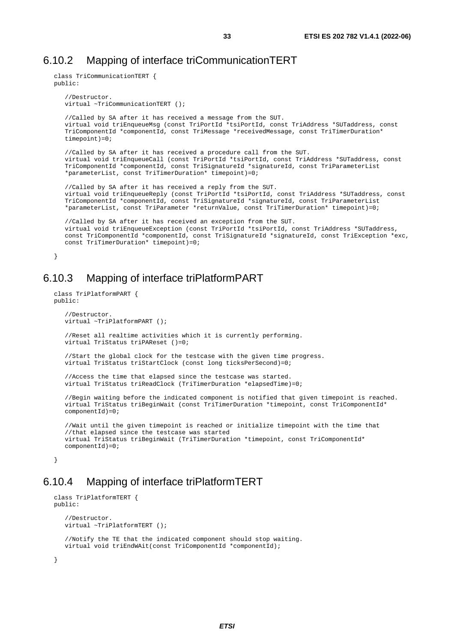### <span id="page-32-0"></span>6.10.2 Mapping of interface triCommunicationTERT

```
class TriCommunicationTERT { 
public: 
   //Destructor. 
   virtual ~TriCommunicationTERT (); 
   //Called by SA after it has received a message from the SUT. 
   virtual void triEnqueueMsg (const TriPortId *tsiPortId, const TriAddress *SUTaddress, const 
   TriComponentId *componentId, const TriMessage *receivedMessage, const TriTimerDuration* 
   timepoint)=0; 
   //Called by SA after it has received a procedure call from the SUT. 
   virtual void triEnqueueCall (const TriPortId *tsiPortId, const TriAddress *SUTaddress, const 
   TriComponentId *componentId, const TriSignatureId *signatureId, const TriParameterList 
   *parameterList, const TriTimerDuration* timepoint)=0; 
   //Called by SA after it has received a reply from the SUT. 
   virtual void triEnqueueReply (const TriPortId *tsiPortId, const TriAddress *SUTaddress, const 
   TriComponentId *componentId, const TriSignatureId *signatureId, const TriParameterList 
   *parameterList, const TriParameter *returnValue, const TriTimerDuration* timepoint)=0; 
   //Called by SA after it has received an exception from the SUT. 
   virtual void triEnqueueException (const TriPortId *tsiPortId, const TriAddress *SUTaddress, 
   const TriComponentId *componentId, const TriSignatureId *signatureId, const TriException *exc, 
   const TriTimerDuration* timepoint)=0; 
}
```
### 6.10.3 Mapping of interface triPlatformPART

```
class TriPlatformPART { 
public: 
   //Destructor. 
   virtual ~TriPlatformPART (); 
   //Reset all realtime activities which it is currently performing. 
   virtual TriStatus triPAReset ()=0; 
   //Start the global clock for the testcase with the given time progress. 
   virtual TriStatus triStartClock (const long ticksPerSecond)=0; 
   //Access the time that elapsed since the testcase was started. 
   virtual TriStatus triReadClock (TriTimerDuration *elapsedTime)=0; 
   //Begin waiting before the indicated component is notified that given timepoint is reached. 
   virtual TriStatus triBeginWait (const TriTimerDuration *timepoint, const TriComponentId* 
   componentId)=0;//Wait until the given timepoint is reached or initialize timepoint with the time that 
   //that elapsed since the testcase was started 
   virtual TriStatus triBeginWait (TriTimerDuration *timepoint, const TriComponentId* 
   componentId)=0;}
```
### 6.10.4 Mapping of interface triPlatformTERT

```
class TriPlatformTERT { 
public: 
   //Destructor. 
   virtual ~TriPlatformTERT (); 
   //Notify the TE that the indicated component should stop waiting. 
   virtual void triEndWAit(const TriComponentId *componentId); 
}
```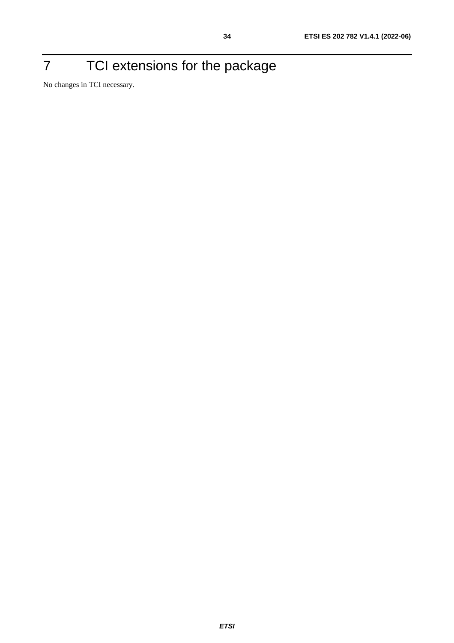## <span id="page-33-0"></span>7 TCI extensions for the package

No changes in TCI necessary.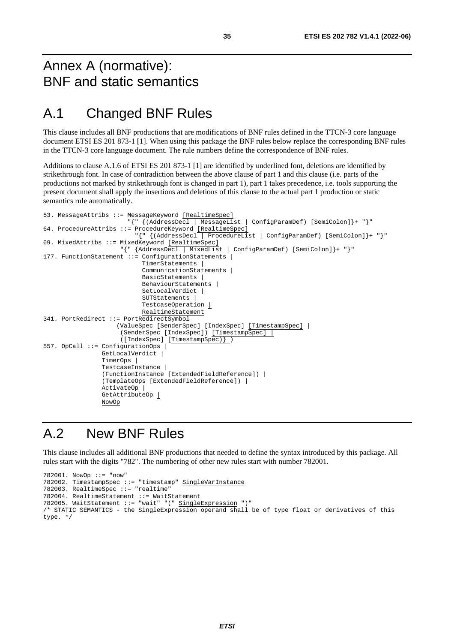## <span id="page-34-0"></span>Annex A (normative): BNF and static semantics

## A.1 Changed BNF Rules

This clause includes all BNF productions that are modifications of BNF rules defined in the TTCN-3 core language document ETSI ES 201 873-1 [[1\]](#page-5-0). When using this package the BNF rules below replace the corresponding BNF rules in the TTCN-3 core language document. The rule numbers define the correspondence of BNF rules.

Additions to clause A.1.6 of ETSI ES 201 873-1 [\[1](#page-5-0)] are identified by underlined font, deletions are identified by strikethrough font. In case of contradiction between the above clause of part 1 and this clause (i.e. parts of the productions not marked by strikethrough font is changed in part 1), part 1 takes precedence, i.e. tools supporting the present document shall apply the insertions and deletions of this clause to the actual part 1 production or static semantics rule automatically.

```
53. MessageAttribs ::= MessageKeyword [RealtimeSpec] 
 "{" {(AddressDecl | MessageList | ConfigParamDef) [SemiColon]}+ "}" 
64. ProcedureAttribs ::= ProcedureKeyword [RealtimeSpec] 
                           "{" {(AddressDecl | ProcedureList | ConfigParamDef) [SemiColon]}+ "}" 
69. MixedAttribs ::= MixedKeyword [RealtimeSpec] 
                      "{" {AddressDecl | MixedList | ConfigParamDef) [SemiColon]}+ "}" 
177. FunctionStatement ::= ConfigurationStatements |
                             TimerStatements | 
                             CommunicationStatements | 
                             BasicStatements | 
                             BehaviourStatements | 
                            SetLocalVerdict |
                             SUTStatements | 
                             TestcaseOperation | 
                             RealtimeStatement 
341. PortRedirect ::= PortRedirectSymbol 
                     (ValueSpec [SenderSpec] [IndexSpec] [TimestampSpec] | 
                      (SenderSpec [IndexSpec]) [TimestampSpec] | 
                       ([IndexSpec] [TimestampSpec)} ) 
557. OpCall ::= ConfigurationOps | 
                GetLocalVerdict |
                 TimerOps | 
                 TestcaseInstance | 
                 (FunctionInstance [ExtendedFieldReference]) | 
                 (TemplateOps [ExtendedFieldReference]) | 
                 ActivateOp | 
                GetAttributeOp |
                 NowOp
```
### A.2 New BNF Rules

This clause includes all additional BNF productions that needed to define the syntax introduced by this package. All rules start with the digits "782". The numbering of other new rules start with number 782001.

```
782001. NowOp ::= "now" 
782002. TimestampSpec ::= "timestamp" SingleVarInstance 
782003. RealtimeSpec ::= "realtime" 
782004. RealtimeStatement ::= WaitStatement 
782005. WaitStatement ::= "wait" "(" SingleExpression ")" 
/* STATIC SEMANTICS - the SingleExpression operand shall be of type float or derivatives of this 
type. */
```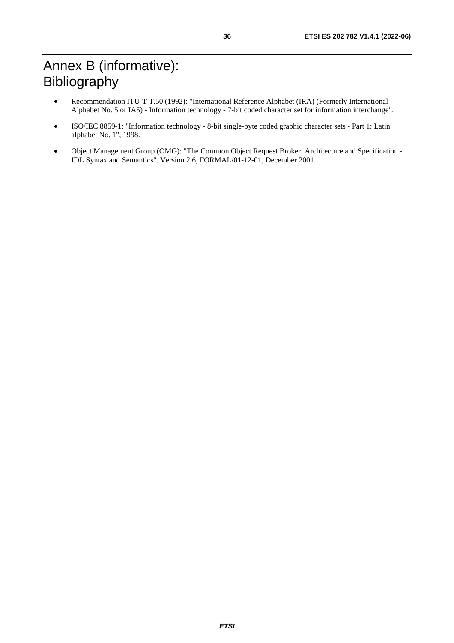- <span id="page-35-0"></span>• Recommendation ITU-T T.50 (1992): "International Reference Alphabet (IRA) (Formerly International Alphabet No. 5 or IA5) - Information technology - 7-bit coded character set for information interchange".
- ISO/IEC 8859-1: "Information technology 8-bit single-byte coded graphic character sets Part 1: Latin alphabet No. 1", 1998.
- Object Management Group (OMG): "The Common Object Request Broker: Architecture and Specification IDL Syntax and Semantics". Version 2.6, FORMAL/01-12-01, December 2001.